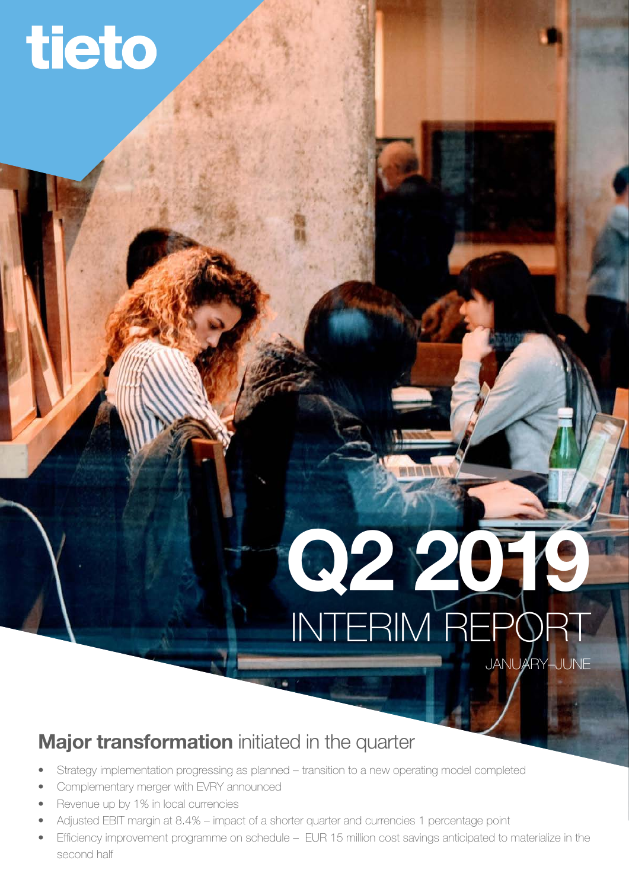# tieto

# INTERIM REPORT JANUARY–JUNE Q2 2019

# Major transformation initiated in the quarter

- Strategy implementation progressing as planned transition to a new operating model completed
- Complementary merger with EVRY announced
- Revenue up by 1% in local currencies
- Adjusted EBIT margin at 8.4% impact of a shorter quarter and currencies 1 percentage point
- Efficiency improvement programme on schedule EUR 15 million cost savings anticipated to materialize in the second half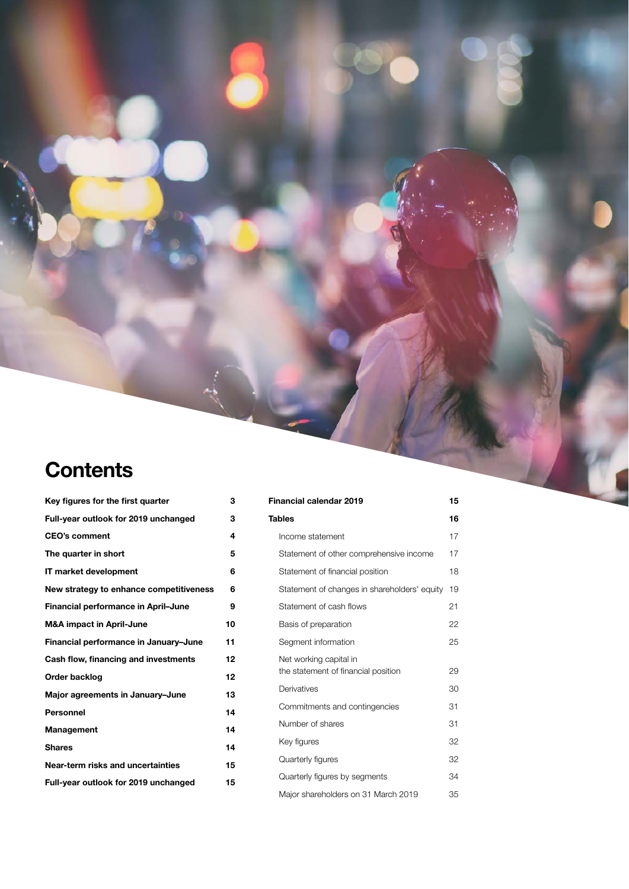# **Contents**

| Key figures for the first quarter       | з  |
|-----------------------------------------|----|
| Full-year outlook for 2019 unchanged    | 3  |
| <b>CEO's comment</b>                    | 4  |
| The quarter in short                    | 5  |
| IT market development                   | 6  |
| New strategy to enhance competitiveness | 6  |
| Financial performance in April-June     | 9  |
| <b>M&amp;A impact in April-June</b>     | 10 |
| Financial performance in January-June   | 11 |
| Cash flow, financing and investments    | 12 |
| Order backlog                           | 12 |
| Major agreements in January-June        | 13 |
| <b>Personnel</b>                        | 14 |
| Management                              | 14 |
| <b>Shares</b>                           | 14 |
| Near-term risks and uncertainties       | 15 |
| Full-year outlook for 2019 unchanged    | 15 |

| <b>Financial calendar 2019</b>                                | 15 |
|---------------------------------------------------------------|----|
| <b>Tables</b>                                                 | 16 |
| Income statement                                              | 17 |
| Statement of other comprehensive income                       | 17 |
| Statement of financial position                               | 18 |
| Statement of changes in shareholders' equity                  | 19 |
| Statement of cash flows                                       | 21 |
| Basis of preparation                                          | 22 |
| Segment information                                           | 25 |
| Net working capital in<br>the statement of financial position | 29 |
| Derivatives                                                   | 30 |
| Commitments and contingencies                                 | 31 |
| Number of shares                                              | 31 |
| Key figures                                                   | 32 |
| Quarterly figures                                             | 32 |
| Quarterly figures by segments                                 | 34 |
| Major shareholders on 31 March 2019                           | 35 |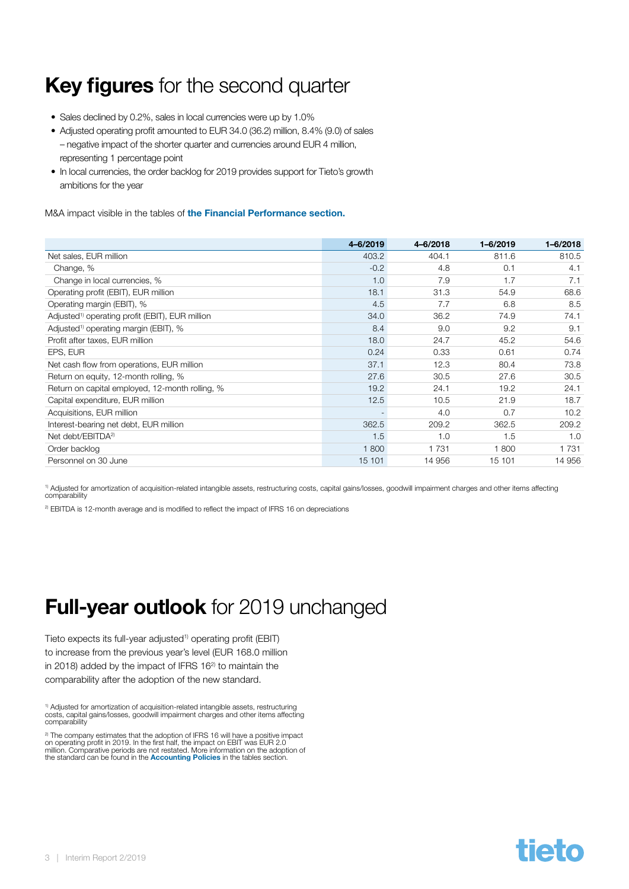# <span id="page-2-0"></span>Key figures for the second quarter

- Sales declined by 0.2%, sales in local currencies were up by 1.0%
- Adjusted operating profit amounted to EUR 34.0 (36.2) million, 8.4% (9.0) of sales – negative impact of the shorter quarter and currencies around EUR 4 million, representing 1 percentage point
- In local currencies, the order backlog for 2019 provides support for Tieto's growth ambitions for the year

M&A impact visible in the tables of [the Financial Performance section.](#page-8-0)

|                                                             | 4-6/2019 | 4-6/2018 | 1-6/2019 | $1 - 6/2018$ |
|-------------------------------------------------------------|----------|----------|----------|--------------|
| Net sales, EUR million                                      | 403.2    | 404.1    | 811.6    | 810.5        |
| Change, %                                                   | $-0.2$   | 4.8      | 0.1      | 4.1          |
| Change in local currencies, %                               | 1.0      | 7.9      | 1.7      | 7.1          |
| Operating profit (EBIT), EUR million                        | 18.1     | 31.3     | 54.9     | 68.6         |
| Operating margin (EBIT), %                                  | 4.5      | 7.7      | 6.8      | 8.5          |
| Adjusted <sup>1)</sup> operating profit (EBIT), EUR million | 34.0     | 36.2     | 74.9     | 74.1         |
| Adjusted <sup>1)</sup> operating margin (EBIT), %           | 8.4      | 9.0      | 9.2      | 9.1          |
| Profit after taxes, EUR million                             | 18.0     | 24.7     | 45.2     | 54.6         |
| EPS, EUR                                                    | 0.24     | 0.33     | 0.61     | 0.74         |
| Net cash flow from operations, EUR million                  | 37.1     | 12.3     | 80.4     | 73.8         |
| Return on equity, 12-month rolling, %                       | 27.6     | 30.5     | 27.6     | 30.5         |
| Return on capital employed, 12-month rolling, %             | 19.2     | 24.1     | 19.2     | 24.1         |
| Capital expenditure, EUR million                            | 12.5     | 10.5     | 21.9     | 18.7         |
| Acquisitions, EUR million                                   |          | 4.0      | 0.7      | 10.2         |
| Interest-bearing net debt, EUR million                      | 362.5    | 209.2    | 362.5    | 209.2        |
| Net debt/EBITDA <sup>2)</sup>                               | 1.5      | 1.0      | 1.5      | 1.0          |
| Order backlog                                               | 1800     | 1 7 3 1  | 1800     | 1 7 3 1      |
| Personnel on 30 June                                        | 15 101   | 14 956   | 15 101   | 14 956       |

1) Adjusted for amortization of acquisition-related intangible assets, restructuring costs, capital gains/losses, goodwill impairment charges and other items affecting comparability

<sup>2)</sup> EBITDA is 12-month average and is modified to reflect the impact of IFRS 16 on depreciations

# **Full-year outlook** for 2019 unchanged

Tieto expects its full-year adjusted<sup>1)</sup> operating profit (EBIT) to increase from the previous year's level (EUR 168.0 million in 2018) added by the impact of IFRS 16<sup>2)</sup> to maintain the comparability after the adoption of the new standard.

<sup>1)</sup> Adjusted for amortization of acquisition-related intangible assets, restructuring<br>costs, capital gains/losses, goodwill impairment charges and other items affecting comparability

<sup>2)</sup> The company estimates that the adoption of IFRS 16 will have a positive impact on operating profit in 2019. In the first half, the impact on EBIT was EUR 2.0<br>million. Comparative periods are not restated. More information on the adoption of<br>the standard can be found in the **[Accounting Policies](#page-21-0)** in th

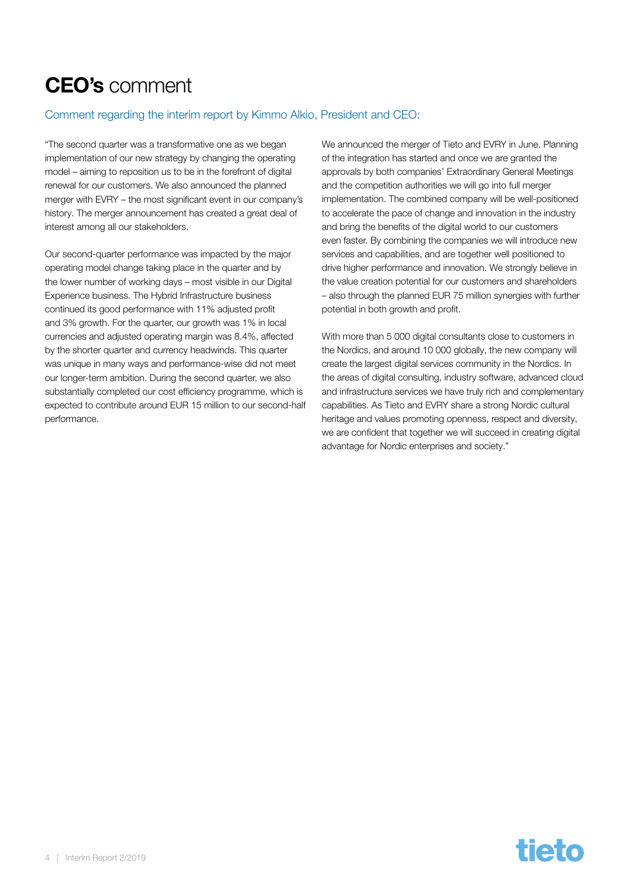# <span id="page-3-0"></span>CEO's comment

#### Comment regarding the interim report by Kimmo Alkio, President and CEO:

"The second quarter was a transformative one as we began implementation of our new strategy by changing the operating model – aiming to reposition us to be in the forefront of digital renewal for our customers. We also announced the planned merger with EVRY – the most significant event in our company's history. The merger announcement has created a great deal of interest among all our stakeholders.

Our second-quarter performance was impacted by the major operating model change taking place in the quarter and by the lower number of working days – most visible in our Digital Experience business. The Hybrid Infrastructure business continued its good performance with 11% adjusted profit and 3% growth. For the quarter, our growth was 1% in local currencies and adjusted operating margin was 8.4%, affected by the shorter quarter and currency headwinds. This quarter was unique in many ways and performance-wise did not meet our longer-term ambition. During the second quarter, we also substantially completed our cost efficiency programme, which is expected to contribute around EUR 15 million to our second-half performance.

We announced the merger of Tieto and EVRY in June. Planning of the integration has started and once we are granted the approvals by both companies' Extraordinary General Meetings and the competition authorities we will go into full merger implementation. The combined company will be well-positioned to accelerate the pace of change and innovation in the industry and bring the benefits of the digital world to our customers even faster. By combining the companies we will introduce new services and capabilities, and are together well positioned to drive higher performance and innovation. We strongly believe in the value creation potential for our customers and shareholders – also through the planned EUR 75 million synergies with further potential in both growth and profit.

With more than 5 000 digital consultants close to customers in the Nordics, and around 10 000 globally, the new company will create the largest digital services community in the Nordics. In the areas of digital consulting, industry software, advanced cloud and infrastructure services we have truly rich and complementary capabilities. As Tieto and EVRY share a strong Nordic cultural heritage and values promoting openness, respect and diversity, we are confident that together we will succeed in creating digital advantage for Nordic enterprises and society."

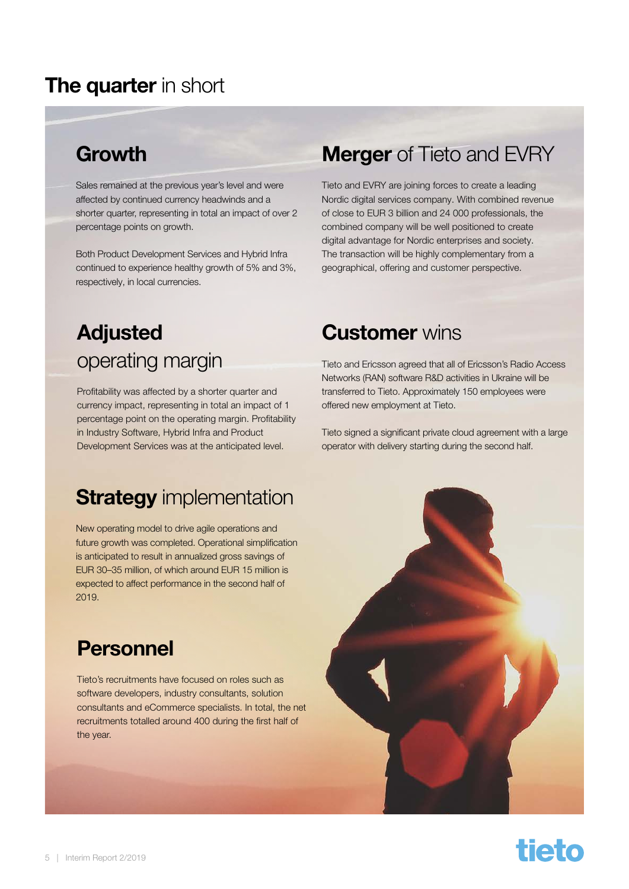### <span id="page-4-0"></span>The quarter in short

# Growth

Sales remained at the previous year's level and were affected by continued currency headwinds and a shorter quarter, representing in total an impact of over 2 percentage points on growth.

Both Product Development Services and Hybrid Infra continued to experience healthy growth of 5% and 3%, respectively, in local currencies.

# Adjusted operating margin

Profitability was affected by a shorter quarter and currency impact, representing in total an impact of 1 percentage point on the operating margin. Profitability in Industry Software, Hybrid Infra and Product Development Services was at the anticipated level.

### **Strategy** implementation

New operating model to drive agile operations and future growth was completed. Operational simplification is anticipated to result in annualized gross savings of EUR 30–35 million, of which around EUR 15 million is expected to affect performance in the second half of 2019.

### Personnel

Tieto's recruitments have focused on roles such as software developers, industry consultants, solution consultants and eCommerce specialists. In total, the net recruitments totalled around 400 during the first half of the year.

# **Merger** of Tieto and EVRY

Tieto and EVRY are joining forces to create a leading Nordic digital services company. With combined revenue of close to EUR 3 billion and 24 000 professionals, the combined company will be well positioned to create digital advantage for Nordic enterprises and society. The transaction will be highly complementary from a geographical, offering and customer perspective.

### **Customer** wins

Tieto and Ericsson agreed that all of Ericsson's Radio Access Networks (RAN) software R&D activities in Ukraine will be transferred to Tieto. Approximately 150 employees were offered new employment at Tieto.

Tieto signed a significant private cloud agreement with a large operator with delivery starting during the second half.



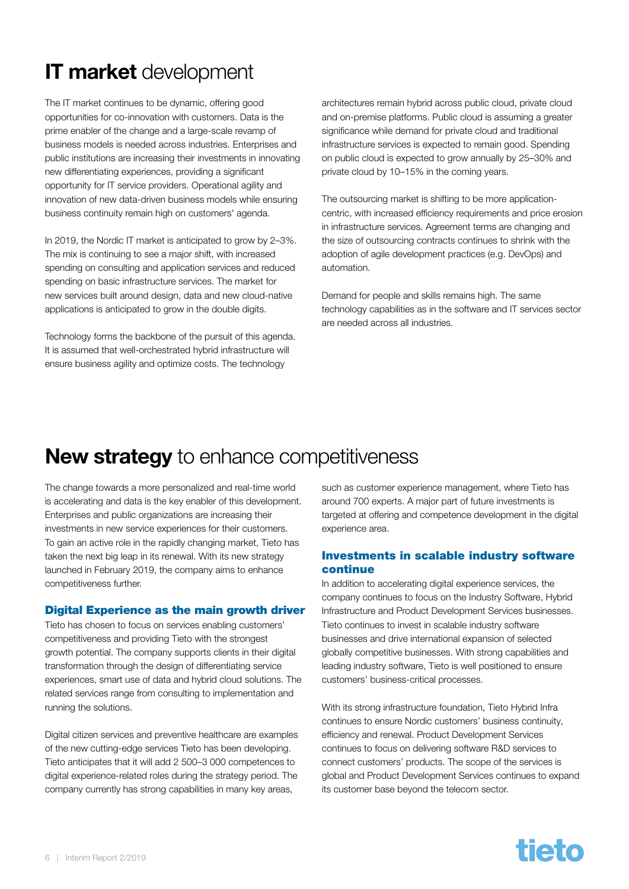# <span id="page-5-0"></span>IT market development

The IT market continues to be dynamic, offering good opportunities for co-innovation with customers. Data is the prime enabler of the change and a large-scale revamp of business models is needed across industries. Enterprises and public institutions are increasing their investments in innovating new differentiating experiences, providing a significant opportunity for IT service providers. Operational agility and innovation of new data-driven business models while ensuring business continuity remain high on customers' agenda.

In 2019, the Nordic IT market is anticipated to grow by 2-3%. The mix is continuing to see a major shift, with increased spending on consulting and application services and reduced spending on basic infrastructure services. The market for new services built around design, data and new cloud-native applications is anticipated to grow in the double digits.

Technology forms the backbone of the pursuit of this agenda. It is assumed that well-orchestrated hybrid infrastructure will ensure business agility and optimize costs. The technology

architectures remain hybrid across public cloud, private cloud and on-premise platforms. Public cloud is assuming a greater significance while demand for private cloud and traditional infrastructure services is expected to remain good. Spending on public cloud is expected to grow annually by 25–30% and private cloud by 10–15% in the coming years.

The outsourcing market is shifting to be more applicationcentric, with increased efficiency requirements and price erosion in infrastructure services. Agreement terms are changing and the size of outsourcing contracts continues to shrink with the adoption of agile development practices (e.g. DevOps) and automation.

Demand for people and skills remains high. The same technology capabilities as in the software and IT services sector are needed across all industries.

### New strategy to enhance competitiveness

The change towards a more personalized and real-time world is accelerating and data is the key enabler of this development. Enterprises and public organizations are increasing their investments in new service experiences for their customers. To gain an active role in the rapidly changing market, Tieto has taken the next big leap in its renewal. With its new strategy launched in February 2019, the company aims to enhance competitiveness further.

#### Digital Experience as the main growth driver

Tieto has chosen to focus on services enabling customers' competitiveness and providing Tieto with the strongest growth potential. The company supports clients in their digital transformation through the design of differentiating service experiences, smart use of data and hybrid cloud solutions. The related services range from consulting to implementation and running the solutions.

Digital citizen services and preventive healthcare are examples of the new cutting-edge services Tieto has been developing. Tieto anticipates that it will add 2 500–3 000 competences to digital experience-related roles during the strategy period. The company currently has strong capabilities in many key areas,

such as customer experience management, where Tieto has around 700 experts. A major part of future investments is targeted at offering and competence development in the digital experience area.

#### Investments in scalable industry software continue

In addition to accelerating digital experience services, the company continues to focus on the Industry Software, Hybrid Infrastructure and Product Development Services businesses. Tieto continues to invest in scalable industry software businesses and drive international expansion of selected globally competitive businesses. With strong capabilities and leading industry software, Tieto is well positioned to ensure customers' business-critical processes.

With its strong infrastructure foundation, Tieto Hybrid Infra continues to ensure Nordic customers' business continuity, efficiency and renewal. Product Development Services continues to focus on delivering software R&D services to connect customers' products. The scope of the services is global and Product Development Services continues to expand its customer base beyond the telecom sector.

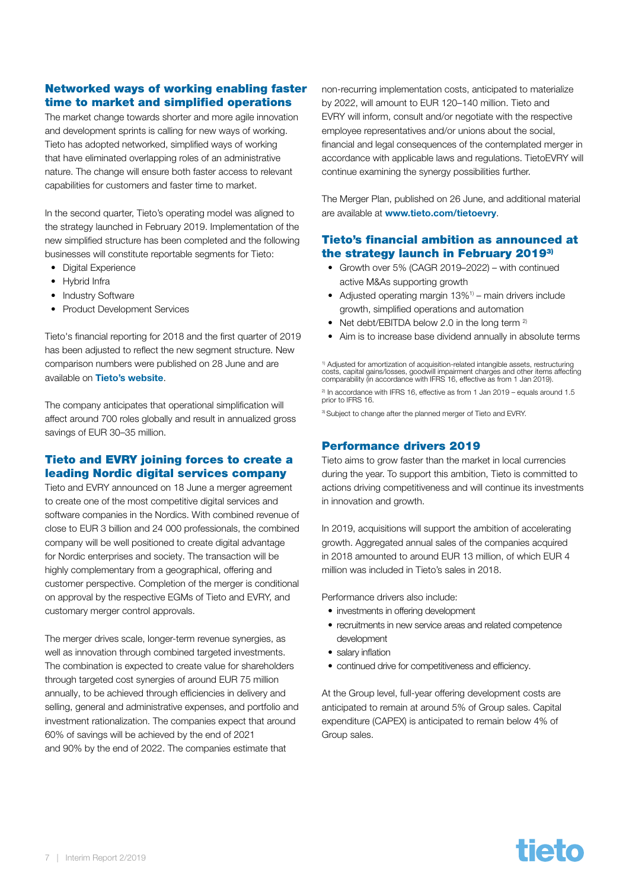#### Networked ways of working enabling faster time to market and simplified operations

The market change towards shorter and more agile innovation and development sprints is calling for new ways of working. Tieto has adopted networked, simplified ways of working that have eliminated overlapping roles of an administrative nature. The change will ensure both faster access to relevant capabilities for customers and faster time to market.

In the second quarter, Tieto's operating model was aligned to the strategy launched in February 2019. Implementation of the new simplified structure has been completed and the following businesses will constitute reportable segments for Tieto:

- Digital Experience
- Hybrid Infra
- Industry Software
- Product Development Services

Tieto's financial reporting for 2018 and the first quarter of 2019 has been adjusted to reflect the new segment structure. New comparison numbers were published on 28 June and are available on [Tieto's website](https://www.tieto.com/en/investor-relations/financials/reporting-changes/).

The company anticipates that operational simplification will affect around 700 roles globally and result in annualized gross savings of EUR 30–35 million.

#### Tieto and EVRY joining forces to create a leading Nordic digital services company

Tieto and EVRY announced on 18 June a merger agreement to create one of the most competitive digital services and software companies in the Nordics. With combined revenue of close to EUR 3 billion and 24 000 professionals, the combined company will be well positioned to create digital advantage for Nordic enterprises and society. The transaction will be highly complementary from a geographical, offering and customer perspective. Completion of the merger is conditional on approval by the respective EGMs of Tieto and EVRY, and customary merger control approvals.

The merger drives scale, longer-term revenue synergies, as well as innovation through combined targeted investments. The combination is expected to create value for shareholders through targeted cost synergies of around EUR 75 million annually, to be achieved through efficiencies in delivery and selling, general and administrative expenses, and portfolio and investment rationalization. The companies expect that around 60% of savings will be achieved by the end of 2021 and 90% by the end of 2022. The companies estimate that

non-recurring implementation costs, anticipated to materialize by 2022, will amount to EUR 120–140 million. Tieto and EVRY will inform, consult and/or negotiate with the respective employee representatives and/or unions about the social, financial and legal consequences of the contemplated merger in accordance with applicable laws and regulations. TietoEVRY will continue examining the synergy possibilities further.

The Merger Plan, published on 26 June, and additional material are available at [www.tieto.com/tietoevry](http://www.tieto.com/tietoevry).

#### Tieto's financial ambition as announced at the strategy launch in February 20193)

- Growth over 5% (CAGR 2019–2022) with continued active M&As supporting growth
- Adjusted operating margin 13%<sup>1)</sup> main drivers include growth, simplified operations and automation
- Net debt/EBITDA below 2.0 in the long term <sup>2)</sup>
- Aim is to increase base dividend annually in absolute terms

<sup>1)</sup> Adjusted for amortization of acquisition-related intangible assets, restructuring costs, capital gains/losses, goodwill impairment charges and other items affecting comparability (in accordance with IFRS 16, effective as from 1 Jan 2019).

 $^{2}$  In accordance with IFRS 16, effective as from 1 Jan 2019 – equals around 1.5 prior to IFRS 16.

<sup>3)</sup> Subject to change after the planned merger of Tieto and EVRY.

#### Performance drivers 2019

Tieto aims to grow faster than the market in local currencies during the year. To support this ambition, Tieto is committed to actions driving competitiveness and will continue its investments in innovation and growth.

In 2019, acquisitions will support the ambition of accelerating growth. Aggregated annual sales of the companies acquired in 2018 amounted to around EUR 13 million, of which EUR 4 million was included in Tieto's sales in 2018.

Performance drivers also include:

- investments in offering development
- recruitments in new service areas and related competence development
- salary inflation
- continued drive for competitiveness and efficiency.

At the Group level, full-year offering development costs are anticipated to remain at around 5% of Group sales. Capital expenditure (CAPEX) is anticipated to remain below 4% of Group sales.

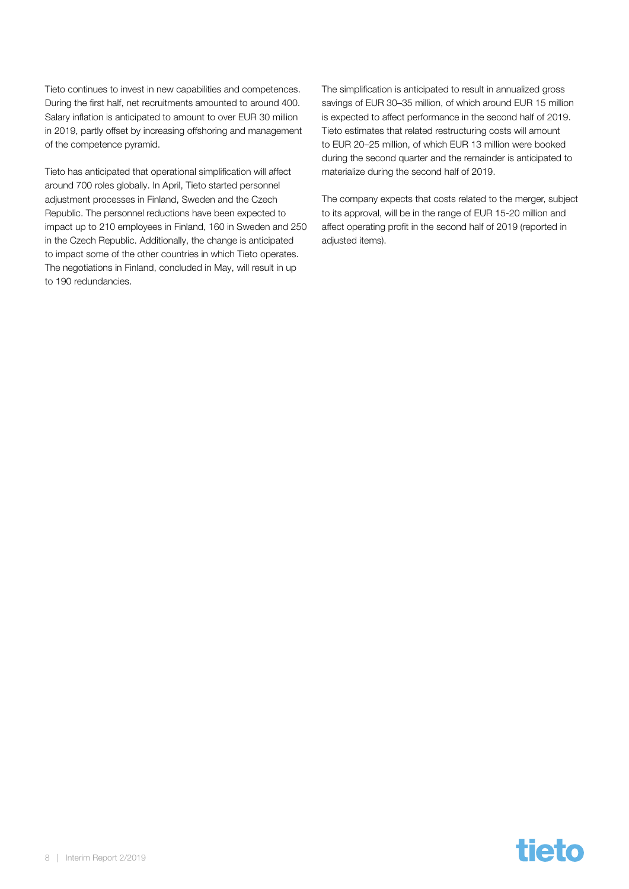Tieto continues to invest in new capabilities and competences. During the first half, net recruitments amounted to around 400. Salary inflation is anticipated to amount to over EUR 30 million in 2019, partly offset by increasing offshoring and management of the competence pyramid.

Tieto has anticipated that operational simplification will affect around 700 roles globally. In April, Tieto started personnel adjustment processes in Finland, Sweden and the Czech Republic. The personnel reductions have been expected to impact up to 210 employees in Finland, 160 in Sweden and 250 in the Czech Republic. Additionally, the change is anticipated to impact some of the other countries in which Tieto operates. The negotiations in Finland, concluded in May, will result in up to 190 redundancies.

The simplification is anticipated to result in annualized gross savings of EUR 30–35 million, of which around EUR 15 million is expected to affect performance in the second half of 2019. Tieto estimates that related restructuring costs will amount to EUR 20–25 million, of which EUR 13 million were booked during the second quarter and the remainder is anticipated to materialize during the second half of 2019.

The company expects that costs related to the merger, subject to its approval, will be in the range of EUR 15-20 million and affect operating profit in the second half of 2019 (reported in adjusted items).

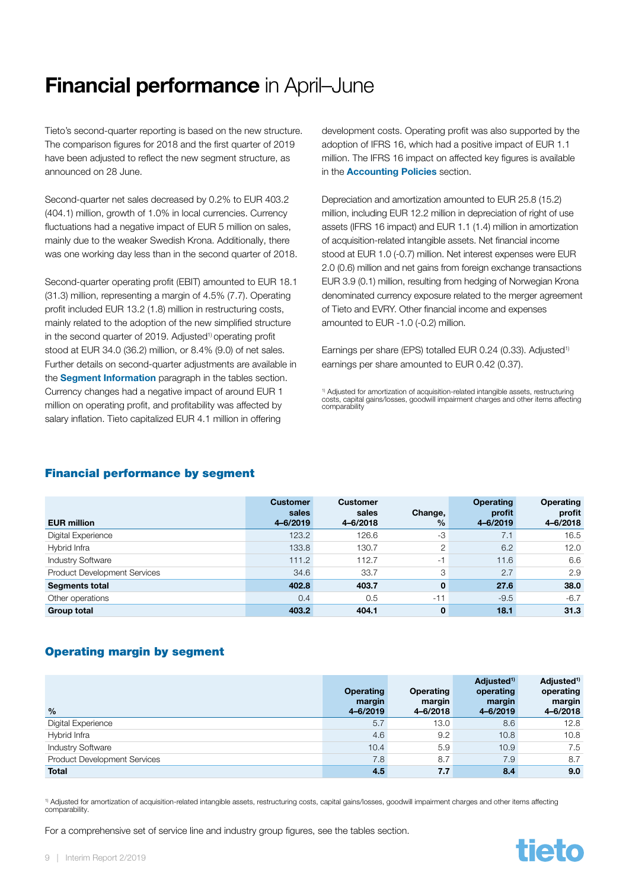# <span id="page-8-0"></span>Financial performance in April–June

Tieto's second-quarter reporting is based on the new structure. The comparison figures for 2018 and the first quarter of 2019 have been adjusted to reflect the new segment structure, as announced on 28 June.

Second-quarter net sales decreased by 0.2% to EUR 403.2 (404.1) million, growth of 1.0% in local currencies. Currency fluctuations had a negative impact of EUR 5 million on sales, mainly due to the weaker Swedish Krona. Additionally, there was one working day less than in the second quarter of 2018.

Second-quarter operating profit (EBIT) amounted to EUR 18.1 (31.3) million, representing a margin of 4.5% (7.7). Operating profit included EUR 13.2 (1.8) million in restructuring costs, mainly related to the adoption of the new simplified structure in the second quarter of 2019. Adjusted<sup>1)</sup> operating profit stood at EUR 34.0 (36.2) million, or 8.4% (9.0) of net sales. Further details on second-quarter adjustments are available in the **[Segment Information](#page-24-0)** paragraph in the tables section. Currency changes had a negative impact of around EUR 1 million on operating profit, and profitability was affected by salary inflation. Tieto capitalized EUR 4.1 million in offering

development costs. Operating profit was also supported by the adoption of IFRS 16, which had a positive impact of EUR 1.1 million. The IFRS 16 impact on affected key figures is available in the **[Accounting Policies](#page-21-0)** section.

Depreciation and amortization amounted to EUR 25.8 (15.2) million, including EUR 12.2 million in depreciation of right of use assets (IFRS 16 impact) and EUR 1.1 (1.4) million in amortization of acquisition-related intangible assets. Net financial income stood at EUR 1.0 (-0.7) million. Net interest expenses were EUR 2.0 (0.6) million and net gains from foreign exchange transactions EUR 3.9 (0.1) million, resulting from hedging of Norwegian Krona denominated currency exposure related to the merger agreement of Tieto and EVRY. Other financial income and expenses amounted to EUR -1.0 (-0.2) million.

Earnings per share (EPS) totalled EUR 0.24 (0.33). Adjusted<sup>1)</sup> earnings per share amounted to EUR 0.42 (0.37).

<sup>1)</sup> Adjusted for amortization of acquisition-related intangible assets, restructuring costs, capital gains/losses, goodwill impairment charges and other items affecting comparability

#### Financial performance by segment

| <b>EUR million</b>                  | <b>Customer</b><br>sales<br>4-6/2019 | <b>Customer</b><br>sales<br>4-6/2018 | Change,<br>$\frac{9}{6}$ | <b>Operating</b><br>profit<br>4-6/2019 | <b>Operating</b><br>profit<br>4-6/2018 |
|-------------------------------------|--------------------------------------|--------------------------------------|--------------------------|----------------------------------------|----------------------------------------|
| Digital Experience                  | 123.2                                | 126.6                                | -3                       | 7.1                                    | 16.5                                   |
| Hybrid Infra                        | 133.8                                | 130.7                                | 2                        | 6.2                                    | 12.0                                   |
| <b>Industry Software</b>            | 111.2                                | 112.7                                | $-1$                     | 11.6                                   | 6.6                                    |
| <b>Product Development Services</b> | 34.6                                 | 33.7                                 | 3                        | 2.7                                    | 2.9                                    |
| <b>Segments total</b>               | 402.8                                | 403.7                                | $\mathbf{0}$             | 27.6                                   | 38.0                                   |
| Other operations                    | 0.4                                  | 0.5                                  | $-11$                    | $-9.5$                                 | $-6.7$                                 |
| <b>Group total</b>                  | 403.2                                | 404.1                                | 0                        | 18.1                                   | 31.3                                   |

#### Operating margin by segment

| $\frac{0}{0}$                       | <b>Operating</b><br>margin<br>4-6/2019 | <b>Operating</b><br>margin<br>4-6/2018 | Adjusted <sup>1)</sup><br>operating<br>margin<br>4-6/2019 | Adjusted <sup>1)</sup><br>operating<br>margin<br>4-6/2018 |
|-------------------------------------|----------------------------------------|----------------------------------------|-----------------------------------------------------------|-----------------------------------------------------------|
| Digital Experience                  | 5.7                                    | 13.0                                   | 8.6                                                       | 12.8                                                      |
| Hybrid Infra                        | 4.6                                    | 9.2                                    | 10.8                                                      | 10.8                                                      |
| <b>Industry Software</b>            | 10.4                                   | 5.9                                    | 10.9                                                      | 7.5                                                       |
| <b>Product Development Services</b> | 7.8                                    | 8.7                                    | 7.9                                                       | 8.7                                                       |
| <b>Total</b>                        | 4.5                                    | 7.7                                    | 8.4                                                       | 9.0                                                       |

1) Adjusted for amortization of acquisition-related intangible assets, restructuring costs, capital gains/losses, goodwill impairment charges and other items affecting comparability

For a comprehensive set of service line and industry group figures, see the tables section.

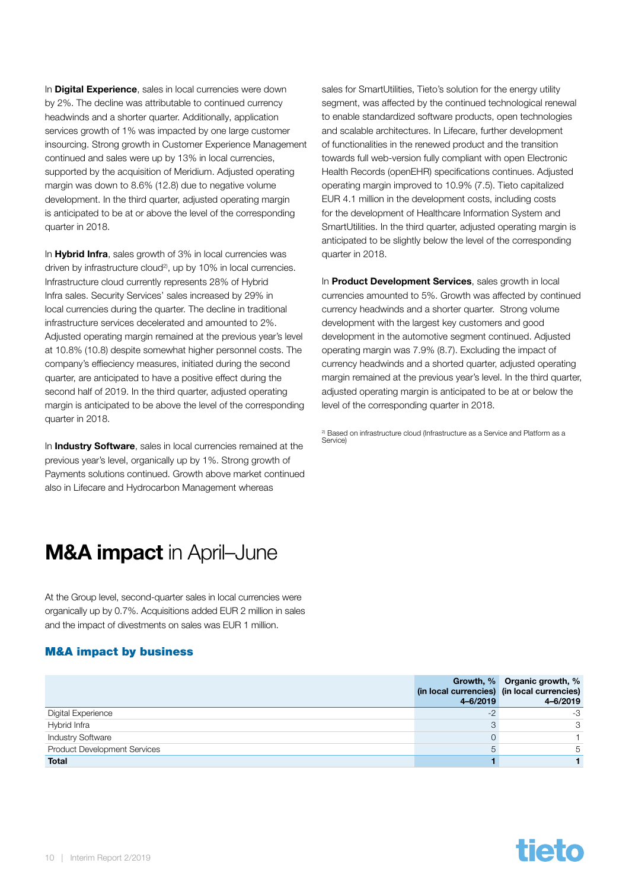<span id="page-9-0"></span>In **Digital Experience**, sales in local currencies were down by 2%. The decline was attributable to continued currency headwinds and a shorter quarter. Additionally, application services growth of 1% was impacted by one large customer insourcing. Strong growth in Customer Experience Management continued and sales were up by 13% in local currencies, supported by the acquisition of Meridium. Adjusted operating margin was down to 8.6% (12.8) due to negative volume development. In the third quarter, adjusted operating margin is anticipated to be at or above the level of the corresponding quarter in 2018.

In **Hybrid Infra**, sales growth of 3% in local currencies was driven by infrastructure cloud<sup>2)</sup>, up by 10% in local currencies. Infrastructure cloud currently represents 28% of Hybrid Infra sales. Security Services' sales increased by 29% in local currencies during the quarter. The decline in traditional infrastructure services decelerated and amounted to 2%. Adjusted operating margin remained at the previous year's level at 10.8% (10.8) despite somewhat higher personnel costs. The company's effieciency measures, initiated during the second quarter, are anticipated to have a positive effect during the second half of 2019. In the third quarter, adjusted operating margin is anticipated to be above the level of the corresponding quarter in 2018.

In **Industry Software**, sales in local currencies remained at the previous year's level, organically up by 1%. Strong growth of Payments solutions continued. Growth above market continued also in Lifecare and Hydrocarbon Management whereas

### M&A impact in April–June

At the Group level, second-quarter sales in local currencies were organically up by 0.7%. Acquisitions added EUR 2 million in sales and the impact of divestments on sales was EUR 1 million.

#### M&A impact by business

sales for SmartUtilities, Tieto's solution for the energy utility segment, was affected by the continued technological renewal to enable standardized software products, open technologies and scalable architectures. In Lifecare, further development of functionalities in the renewed product and the transition towards full web-version fully compliant with open Electronic Health Records (openEHR) specifications continues. Adjusted operating margin improved to 10.9% (7.5). Tieto capitalized EUR 4.1 million in the development costs, including costs for the development of Healthcare Information System and SmartUtilities. In the third quarter, adjusted operating margin is anticipated to be slightly below the level of the corresponding quarter in 2018.

In **Product Development Services**, sales growth in local currencies amounted to 5%. Growth was affected by continued currency headwinds and a shorter quarter. Strong volume development with the largest key customers and good development in the automotive segment continued. Adjusted operating margin was 7.9% (8.7). Excluding the impact of currency headwinds and a shorted quarter, adjusted operating margin remained at the previous year's level. In the third quarter, adjusted operating margin is anticipated to be at or below the level of the corresponding quarter in 2018.

<sup>2)</sup> Based on infrastructure cloud (Infrastructure as a Service and Platform as a Service)

|                                     | (in local currencies) (in local currencies)<br>4-6/2019 | Growth, % Organic growth, %<br>4-6/2019 |
|-------------------------------------|---------------------------------------------------------|-----------------------------------------|
| Digital Experience                  | $-2$                                                    | -3                                      |
| Hybrid Infra                        | 3                                                       | 3                                       |
| <b>Industry Software</b>            | 0                                                       |                                         |
| <b>Product Development Services</b> | $\circ$                                                 | 5                                       |
| <b>Total</b>                        |                                                         |                                         |

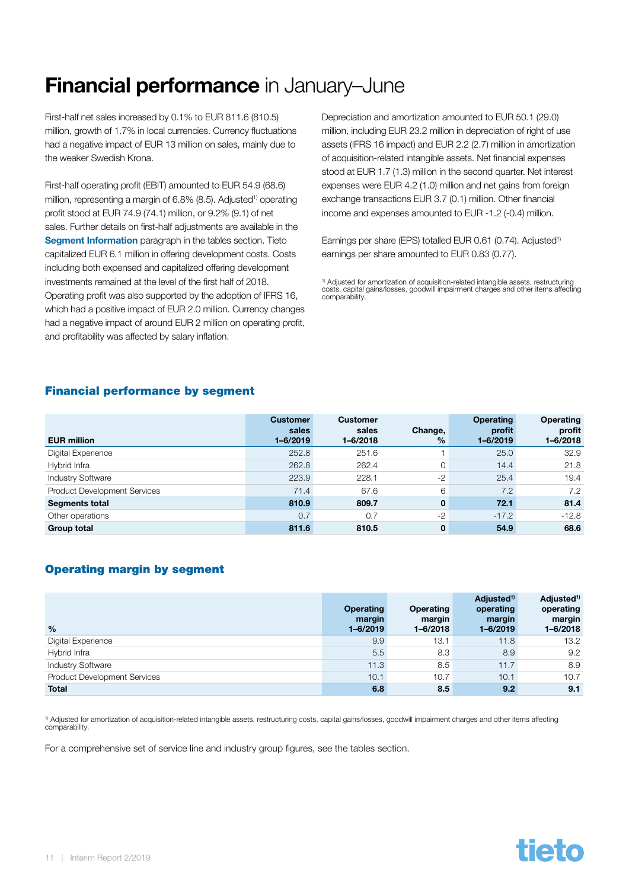# <span id="page-10-0"></span>Financial performance in January-June

First-half net sales increased by 0.1% to EUR 811.6 (810.5) million, growth of 1.7% in local currencies. Currency fluctuations had a negative impact of EUR 13 million on sales, mainly due to the weaker Swedish Krona.

First-half operating profit (EBIT) amounted to EUR 54.9 (68.6) million, representing a margin of 6.8% (8.5). Adjusted<sup>1)</sup> operating profit stood at EUR 74.9 (74.1) million, or 9.2% (9.1) of net sales. Further details on first-half adjustments are available in the [Segment Information](#page-24-0) paragraph in the tables section. Tieto capitalized EUR 6.1 million in offering development costs. Costs including both expensed and capitalized offering development investments remained at the level of the first half of 2018. Operating profit was also supported by the adoption of IFRS 16, which had a positive impact of EUR 2.0 million. Currency changes had a negative impact of around EUR 2 million on operating profit, and profitability was affected by salary inflation.

Depreciation and amortization amounted to EUR 50.1 (29.0) million, including EUR 23.2 million in depreciation of right of use assets (IFRS 16 impact) and EUR 2.2 (2.7) million in amortization of acquisition-related intangible assets. Net financial expenses stood at EUR 1.7 (1.3) million in the second quarter. Net interest expenses were EUR 4.2 (1.0) million and net gains from foreign exchange transactions EUR 3.7 (0.1) million. Other financial income and expenses amounted to EUR -1.2 (-0.4) million.

Earnings per share (EPS) totalled EUR 0.61 (0.74). Adjusted<sup>1)</sup> earnings per share amounted to EUR 0.83 (0.77).

1) Adjusted for amortization of acquisition-related intangible assets, restructuring costs, capital gains/losses, goodwill impairment charges and other items affecting comparability.

#### Financial performance by segment

| <b>EUR million</b>                  | <b>Customer</b><br>sales<br>$1 - 6/2019$ | <b>Customer</b><br>sales<br>$1 - 6/2018$ | Change,<br>$\frac{9}{6}$ | <b>Operating</b><br>profit<br>$1 - 6/2019$ | <b>Operating</b><br>profit<br>1-6/2018 |
|-------------------------------------|------------------------------------------|------------------------------------------|--------------------------|--------------------------------------------|----------------------------------------|
| Digital Experience                  | 252.8                                    | 251.6                                    |                          | 25.0                                       | 32.9                                   |
| Hybrid Infra                        | 262.8                                    | 262.4                                    | $\mathbf 0$              | 14.4                                       | 21.8                                   |
| <b>Industry Software</b>            | 223.9                                    | 228.1                                    | $-2$                     | 25.4                                       | 19.4                                   |
| <b>Product Development Services</b> | 71.4                                     | 67.6                                     | 6                        | 7.2                                        | 7.2                                    |
| <b>Segments total</b>               | 810.9                                    | 809.7                                    | $\mathbf 0$              | 72.1                                       | 81.4                                   |
| Other operations                    | 0.7                                      | 0.7                                      | $-2$                     | $-17.2$                                    | $-12.8$                                |
| <b>Group total</b>                  | 811.6                                    | 810.5                                    | $\mathbf 0$              | 54.9                                       | 68.6                                   |

#### Operating margin by segment

| $\frac{0}{0}$                       | <b>Operating</b><br>margin<br>$1 - 6/2019$ | Operating<br>margin<br>$1 - 6/2018$ | Adjusted <sup>1)</sup><br>operating<br>margin<br>$1 - 6/2019$ | Adjusted <sup>1)</sup><br>operating<br>margin<br>$1 - 6/2018$ |
|-------------------------------------|--------------------------------------------|-------------------------------------|---------------------------------------------------------------|---------------------------------------------------------------|
| Digital Experience                  | 9.9                                        | 13.1                                | 11.8                                                          | 13.2                                                          |
| Hybrid Infra                        | 5.5                                        | 8.3                                 | 8.9                                                           | 9.2                                                           |
| <b>Industry Software</b>            | 11.3                                       | 8.5                                 | 11.7                                                          | 8.9                                                           |
| <b>Product Development Services</b> | 10.1                                       | 10.7                                | 10.1                                                          | 10.7                                                          |
| <b>Total</b>                        | 6.8                                        | 8.5                                 | 9.2                                                           | 9.1                                                           |

1) Adjusted for amortization of acquisition-related intangible assets, restructuring costs, capital gains/losses, goodwill impairment charges and other items affecting comparability

For a comprehensive set of service line and industry group figures, see the tables section.

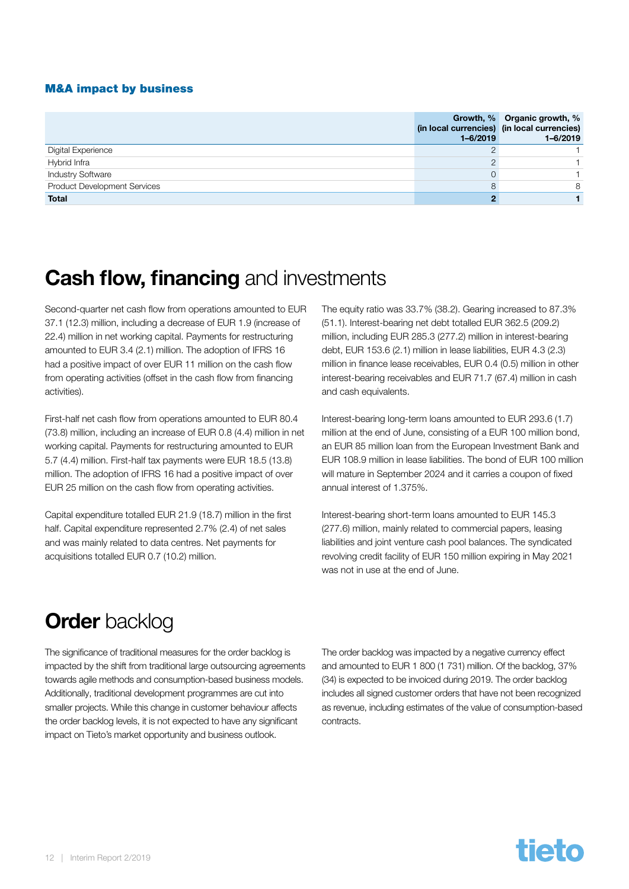#### <span id="page-11-0"></span>M&A impact by business

|                                     | (in local currencies) (in local currencies)<br>$1 - 6/2019$ | Growth, % Organic growth, %<br>1-6/2019 |
|-------------------------------------|-------------------------------------------------------------|-----------------------------------------|
| Digital Experience                  |                                                             |                                         |
| Hybrid Infra                        |                                                             |                                         |
| <b>Industry Software</b>            |                                                             |                                         |
| <b>Product Development Services</b> | 8                                                           | 8                                       |
| <b>Total</b>                        |                                                             |                                         |

### **Cash flow, financing** and investments

Second-quarter net cash flow from operations amounted to EUR 37.1 (12.3) million, including a decrease of EUR 1.9 (increase of 22.4) million in net working capital. Payments for restructuring amounted to EUR 3.4 (2.1) million. The adoption of IFRS 16 had a positive impact of over EUR 11 million on the cash flow from operating activities (offset in the cash flow from financing activities).

First-half net cash flow from operations amounted to EUR 80.4 (73.8) million, including an increase of EUR 0.8 (4.4) million in net working capital. Payments for restructuring amounted to EUR 5.7 (4.4) million. First-half tax payments were EUR 18.5 (13.8) million. The adoption of IFRS 16 had a positive impact of over EUR 25 million on the cash flow from operating activities.

Capital expenditure totalled EUR 21.9 (18.7) million in the first half. Capital expenditure represented 2.7% (2.4) of net sales and was mainly related to data centres. Net payments for acquisitions totalled EUR 0.7 (10.2) million.

The equity ratio was 33.7% (38.2). Gearing increased to 87.3% (51.1). Interest-bearing net debt totalled EUR 362.5 (209.2) million, including EUR 285.3 (277.2) million in interest-bearing debt, EUR 153.6 (2.1) million in lease liabilities, EUR 4.3 (2.3) million in finance lease receivables, EUR 0.4 (0.5) million in other interest-bearing receivables and EUR 71.7 (67.4) million in cash and cash equivalents.

Interest-bearing long-term loans amounted to EUR 293.6 (1.7) million at the end of June, consisting of a EUR 100 million bond, an EUR 85 million loan from the European Investment Bank and EUR 108.9 million in lease liabilities. The bond of EUR 100 million will mature in September 2024 and it carries a coupon of fixed annual interest of 1.375%.

Interest-bearing short-term loans amounted to EUR 145.3 (277.6) million, mainly related to commercial papers, leasing liabilities and joint venture cash pool balances. The syndicated revolving credit facility of EUR 150 million expiring in May 2021 was not in use at the end of June.

### **Order backlog**

The significance of traditional measures for the order backlog is impacted by the shift from traditional large outsourcing agreements towards agile methods and consumption-based business models. Additionally, traditional development programmes are cut into smaller projects. While this change in customer behaviour affects the order backlog levels, it is not expected to have any significant impact on Tieto's market opportunity and business outlook.

The order backlog was impacted by a negative currency effect and amounted to EUR 1 800 (1 731) million. Of the backlog, 37% (34) is expected to be invoiced during 2019. The order backlog includes all signed customer orders that have not been recognized as revenue, including estimates of the value of consumption-based contracts.

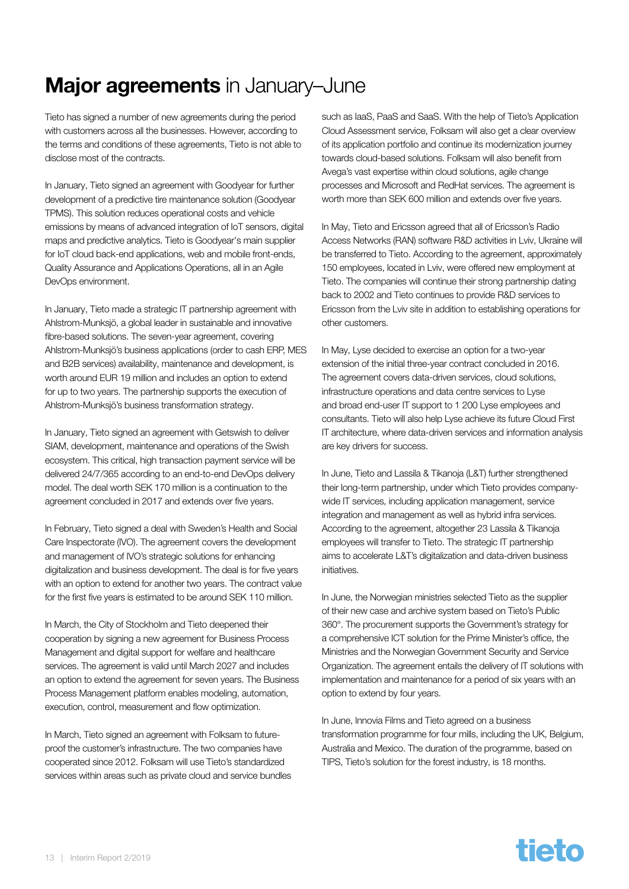# <span id="page-12-0"></span>Major agreements in January-June

Tieto has signed a number of new agreements during the period with customers across all the businesses. However, according to the terms and conditions of these agreements, Tieto is not able to disclose most of the contracts.

In January, Tieto signed an agreement with Goodyear for further development of a predictive tire maintenance solution (Goodyear TPMS). This solution reduces operational costs and vehicle emissions by means of advanced integration of IoT sensors, digital maps and predictive analytics. Tieto is Goodyear's main supplier for IoT cloud back-end applications, web and mobile front-ends, Quality Assurance and Applications Operations, all in an Agile DevOps environment.

In January, Tieto made a strategic IT partnership agreement with Ahlstrom-Munksjö, a global leader in sustainable and innovative fibre-based solutions. The seven-year agreement, covering Ahlstrom-Munksjö's business applications (order to cash ERP, MES and B2B services) availability, maintenance and development, is worth around EUR 19 million and includes an option to extend for up to two years. The partnership supports the execution of Ahlstrom-Munksjö's business transformation strategy.

In January, Tieto signed an agreement with Getswish to deliver SIAM, development, maintenance and operations of the Swish ecosystem. This critical, high transaction payment service will be delivered 24/7/365 according to an end-to-end DevOps delivery model. The deal worth SEK 170 million is a continuation to the agreement concluded in 2017 and extends over five years.

In February, Tieto signed a deal with Sweden's Health and Social Care Inspectorate (IVO). The agreement covers the development and management of IVO's strategic solutions for enhancing digitalization and business development. The deal is for five years with an option to extend for another two years. The contract value for the first five years is estimated to be around SEK 110 million.

In March, the City of Stockholm and Tieto deepened their cooperation by signing a new agreement for Business Process Management and digital support for welfare and healthcare services. The agreement is valid until March 2027 and includes an option to extend the agreement for seven years. The Business Process Management platform enables modeling, automation, execution, control, measurement and flow optimization.

In March, Tieto signed an agreement with Folksam to futureproof the customer's infrastructure. The two companies have cooperated since 2012. Folksam will use Tieto's standardized services within areas such as private cloud and service bundles

such as IaaS, PaaS and SaaS. With the help of Tieto's Application Cloud Assessment service, Folksam will also get a clear overview of its application portfolio and continue its modernization journey towards cloud-based solutions. Folksam will also benefit from Avega's vast expertise within cloud solutions, agile change processes and Microsoft and RedHat services. The agreement is worth more than SEK 600 million and extends over five years.

In May, Tieto and Ericsson agreed that all of Ericsson's Radio Access Networks (RAN) software R&D activities in Lviv, Ukraine will be transferred to Tieto. According to the agreement, approximately 150 employees, located in Lviv, were offered new employment at Tieto. The companies will continue their strong partnership dating back to 2002 and Tieto continues to provide R&D services to Ericsson from the Lviv site in addition to establishing operations for other customers.

In May, Lyse decided to exercise an option for a two-year extension of the initial three-year contract concluded in 2016. The agreement covers data-driven services, cloud solutions, infrastructure operations and data centre services to Lyse and broad end-user IT support to 1 200 Lyse employees and consultants. Tieto will also help Lyse achieve its future Cloud First IT architecture, where data-driven services and information analysis are key drivers for success.

In June, Tieto and Lassila & Tikanoja (L&T) further strengthened their long-term partnership, under which Tieto provides companywide IT services, including application management, service integration and management as well as hybrid infra services. According to the agreement, altogether 23 Lassila & Tikanoja employees will transfer to Tieto. The strategic IT partnership aims to accelerate L&T's digitalization and data-driven business initiatives.

In June, the Norwegian ministries selected Tieto as the supplier of their new case and archive system based on Tieto's Public 360°. The procurement supports the Government's strategy for a comprehensive ICT solution for the Prime Minister's office, the Ministries and the Norwegian Government Security and Service Organization. The agreement entails the delivery of IT solutions with implementation and maintenance for a period of six years with an option to extend by four years.

In June, Innovia Films and Tieto agreed on a business transformation programme for four mills, including the UK, Belgium, Australia and Mexico. The duration of the programme, based on TIPS, Tieto's solution for the forest industry, is 18 months.

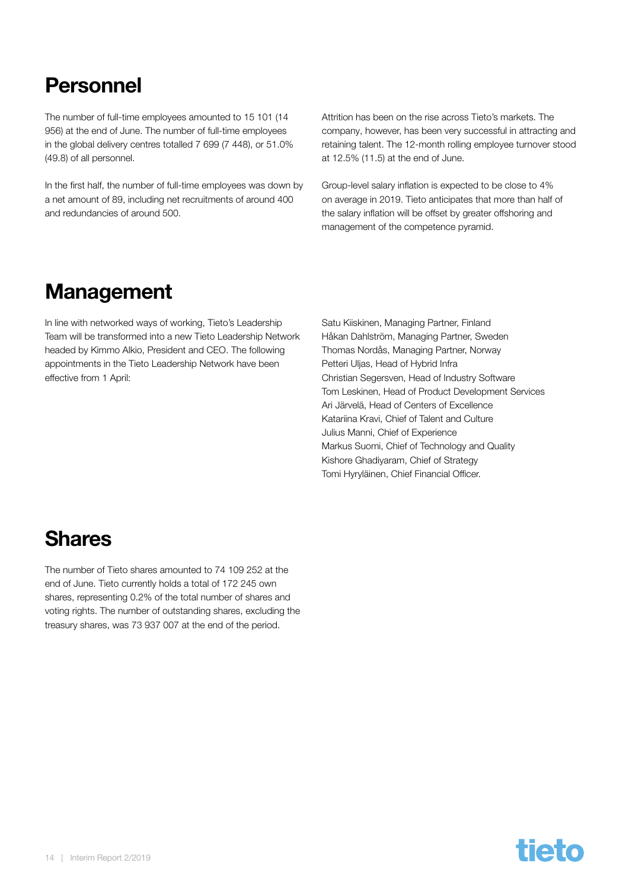### <span id="page-13-0"></span>Personnel

The number of full-time employees amounted to 15 101 (14 956) at the end of June. The number of full-time employees in the global delivery centres totalled 7 699 (7 448), or 51.0% (49.8) of all personnel.

In the first half, the number of full-time employees was down by a net amount of 89, including net recruitments of around 400 and redundancies of around 500.

Attrition has been on the rise across Tieto's markets. The company, however, has been very successful in attracting and retaining talent. The 12-month rolling employee turnover stood at 12.5% (11.5) at the end of June.

Group-level salary inflation is expected to be close to 4% on average in 2019. Tieto anticipates that more than half of the salary inflation will be offset by greater offshoring and management of the competence pyramid.

### **Management**

In line with networked ways of working, Tieto's Leadership Team will be transformed into a new Tieto Leadership Network headed by Kimmo Alkio, President and CEO. The following appointments in the Tieto Leadership Network have been effective from 1 April:

Satu Kiiskinen, Managing Partner, Finland Håkan Dahlström, Managing Partner, Sweden Thomas Nordås, Managing Partner, Norway Petteri Uljas, Head of Hybrid Infra Christian Segersven, Head of Industry Software Tom Leskinen, Head of Product Development Services Ari Järvelä, Head of Centers of Excellence Katariina Kravi, Chief of Talent and Culture Julius Manni, Chief of Experience Markus Suomi, Chief of Technology and Quality Kishore Ghadiyaram, Chief of Strategy Tomi Hyryläinen, Chief Financial Officer.

# Shares

The number of Tieto shares amounted to 74 109 252 at the end of June. Tieto currently holds a total of 172 245 own shares, representing 0.2% of the total number of shares and voting rights. The number of outstanding shares, excluding the treasury shares, was 73 937 007 at the end of the period.

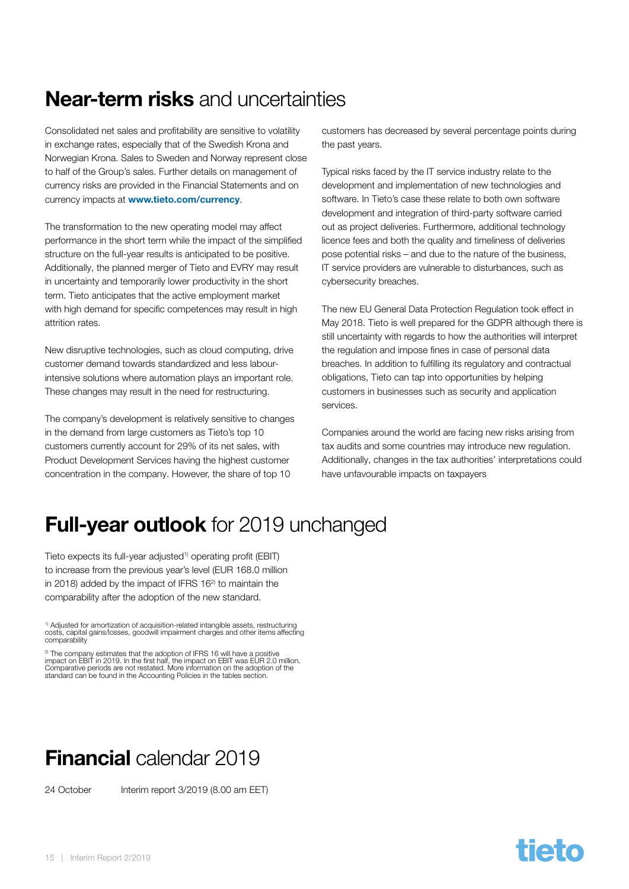# <span id="page-14-0"></span>Near-term risks and uncertainties

Consolidated net sales and profitability are sensitive to volatility in exchange rates, especially that of the Swedish Krona and Norwegian Krona. Sales to Sweden and Norway represent close to half of the Group's sales. Further details on management of currency risks are provided in the Financial Statements and on currency impacts at www.tieto.com/currency.

The transformation to the new operating model may affect performance in the short term while the impact of the simplified structure on the full-year results is anticipated to be positive. Additionally, the planned merger of Tieto and EVRY may result in uncertainty and temporarily lower productivity in the short term. Tieto anticipates that the active employment market with high demand for specific competences may result in high attrition rates.

New disruptive technologies, such as cloud computing, drive customer demand towards standardized and less labourintensive solutions where automation plays an important role. These changes may result in the need for restructuring.

The company's development is relatively sensitive to changes in the demand from large customers as Tieto's top 10 customers currently account for 29% of its net sales, with Product Development Services having the highest customer concentration in the company. However, the share of top 10

customers has decreased by several percentage points during the past years.

Typical risks faced by the IT service industry relate to the development and implementation of new technologies and software. In Tieto's case these relate to both own software development and integration of third-party software carried out as project deliveries. Furthermore, additional technology licence fees and both the quality and timeliness of deliveries pose potential risks – and due to the nature of the business, IT service providers are vulnerable to disturbances, such as cybersecurity breaches.

The new EU General Data Protection Regulation took effect in May 2018. Tieto is well prepared for the GDPR although there is still uncertainty with regards to how the authorities will interpret the regulation and impose fines in case of personal data breaches. In addition to fulfilling its regulatory and contractual obligations, Tieto can tap into opportunities by helping customers in businesses such as security and application services.

Companies around the world are facing new risks arising from tax audits and some countries may introduce new regulation. Additionally, changes in the tax authorities' interpretations could have unfavourable impacts on taxpayers

# **Full-year outlook** for 2019 unchanged

Tieto expects its full-year adjusted<sup>1)</sup> operating profit (EBIT) to increase from the previous year's level (EUR 168.0 million in 2018) added by the impact of IFRS 16<sup>2</sup> to maintain the comparability after the adoption of the new standard.

1) Adjusted for amortization of acquisition-related intangible assets, restructuring costs, capital gains/losses, goodwill impairment charges and other items affecting comparability

<sup>2)</sup> The company estimates that the adoption of IFRS 16 will have a positive<br>impact on EBIT in 2019. In the first half, the impact on EBIT was EUR 2.0 million.<br>Comparative periods are not restated. More information on the standard can be found in the Accounting Policies in the tables section.

# Financial calendar 2019

24 October Interim report 3/2019 (8.00 am EET)

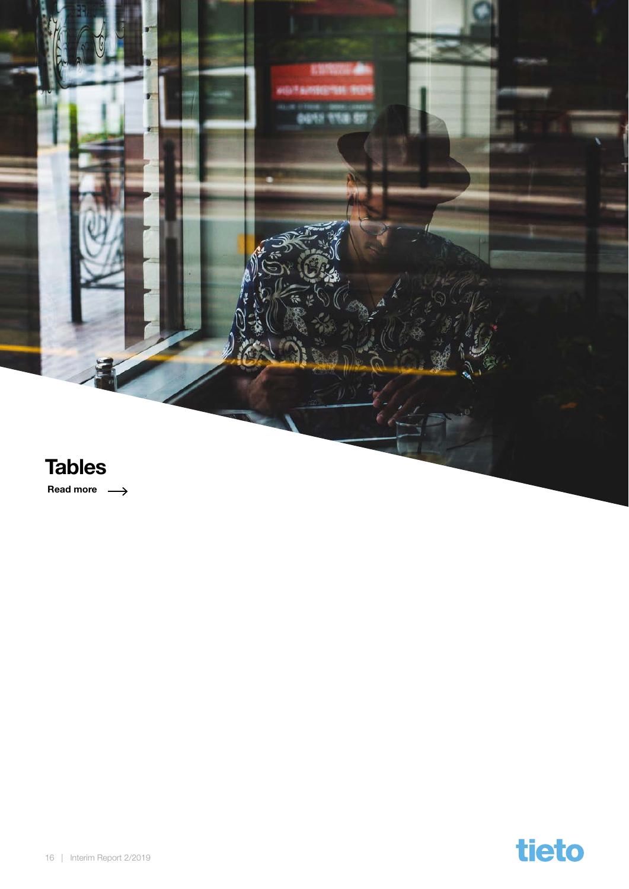<span id="page-15-0"></span>

Read more  $\longrightarrow$ 

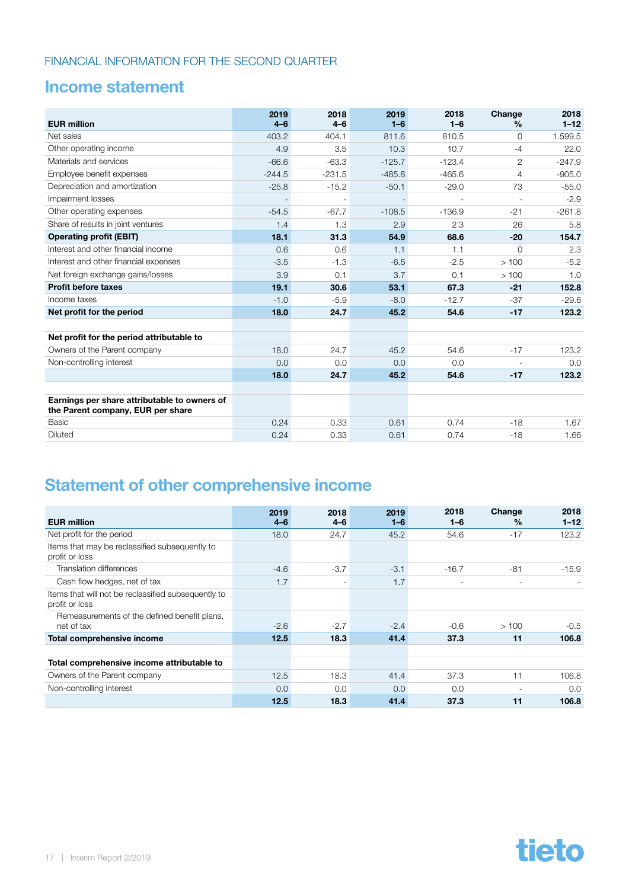### <span id="page-16-0"></span>Income statement

| <b>EUR million</b>                                                                | 2019<br>$4 - 6$ | 2018<br>$4 - 6$          | 2019<br>$1 - 6$ | 2018<br>$1 - 6$ | Change<br>$\%$ | 2018<br>$1 - 12$ |
|-----------------------------------------------------------------------------------|-----------------|--------------------------|-----------------|-----------------|----------------|------------------|
| Net sales                                                                         | 403.2           | 404.1                    | 811.6           | 810.5           | $\Omega$       | 1.599.5          |
| Other operating income                                                            | 4.9             | 3.5                      | 10.3            | 10.7            | $-4$           | 22.0             |
| Materials and services                                                            | $-66.6$         | $-63.3$                  | $-125.7$        | $-123.4$        | $\overline{2}$ | $-247.9$         |
| Employee benefit expenses                                                         | $-244.5$        | $-231.5$                 | $-485.8$        | $-465.6$        | 4              | $-905.0$         |
| Depreciation and amortization                                                     | $-25.8$         | $-15.2$                  | $-50.1$         | $-29.0$         | 73             | $-55.0$          |
| Impairment losses                                                                 |                 | $\overline{\phantom{m}}$ |                 |                 |                | $-2.9$           |
| Other operating expenses                                                          | $-54.5$         | $-67.7$                  | $-108.5$        | $-136.9$        | $-21$          | $-261.8$         |
| Share of results in joint ventures                                                | 1.4             | 1.3                      | 2.9             | 2.3             | 26             | 5.8              |
| <b>Operating profit (EBIT)</b>                                                    | 18.1            | 31.3                     | 54.9            | 68.6            | $-20$          | 154.7            |
| Interest and other financial income                                               | 0.6             | 0.6                      | 1.1             | 1.1             | $\mathbf 0$    | 2.3              |
| Interest and other financial expenses                                             | $-3.5$          | $-1.3$                   | $-6.5$          | $-2.5$          | >100           | $-5.2$           |
| Net foreign exchange gains/losses                                                 | 3.9             | 0.1                      | 3.7             | 0.1             | >100           | 1.0              |
| <b>Profit before taxes</b>                                                        | 19.1            | 30.6                     | 53.1            | 67.3            | $-21$          | 152.8            |
| Income taxes                                                                      | $-1.0$          | $-5.9$                   | $-8.0$          | $-12.7$         | $-37$          | $-29.6$          |
| Net profit for the period                                                         | 18.0            | 24.7                     | 45.2            | 54.6            | $-17$          | 123.2            |
|                                                                                   |                 |                          |                 |                 |                |                  |
| Net profit for the period attributable to                                         |                 |                          |                 |                 |                |                  |
| Owners of the Parent company                                                      | 18.0            | 24.7                     | 45.2            | 54.6            | $-17$          | 123.2            |
| Non-controlling interest                                                          | 0.0             | 0.0                      | 0.0             | 0.0             |                | 0.0              |
|                                                                                   | 18.0            | 24.7                     | 45.2            | 54.6            | $-17$          | 123.2            |
|                                                                                   |                 |                          |                 |                 |                |                  |
| Earnings per share attributable to owners of<br>the Parent company, EUR per share |                 |                          |                 |                 |                |                  |
| Basic                                                                             | 0.24            | 0.33                     | 0.61            | 0.74            | $-18$          | 1.67             |
| Diluted                                                                           | 0.24            | 0.33                     | 0.61            | 0.74            | $-18$          | 1.66             |

### Statement of other comprehensive income

| <b>EUR million</b>                                                    | 2019<br>$4 - 6$ | 2018<br>$4 - 6$          | 2019<br>$1 - 6$ | 2018<br>$1 - 6$ | Change<br>$\%$ | 2018<br>$1 - 12$ |
|-----------------------------------------------------------------------|-----------------|--------------------------|-----------------|-----------------|----------------|------------------|
| Net profit for the period                                             | 18.0            | 24.7                     | 45.2            | 54.6            | $-17$          | 123.2            |
| Items that may be reclassified subsequently to<br>profit or loss      |                 |                          |                 |                 |                |                  |
| Translation differences                                               | $-4.6$          | $-3.7$                   | $-3.1$          | $-16.7$         | $-81$          | $-15.9$          |
| Cash flow hedges, net of tax                                          | 1.7             | $\overline{\phantom{a}}$ | 1.7             | ۰               | ۰              |                  |
| Items that will not be reclassified subsequently to<br>profit or loss |                 |                          |                 |                 |                |                  |
| Remeasurements of the defined benefit plans,<br>net of tax            | $-2.6$          | $-2.7$                   | $-2.4$          | $-0.6$          | >100           | $-0.5$           |
| Total comprehensive income                                            | 12.5            | 18.3                     | 41.4            | 37.3            | 11             | 106.8            |
|                                                                       |                 |                          |                 |                 |                |                  |
| Total comprehensive income attributable to                            |                 |                          |                 |                 |                |                  |
| Owners of the Parent company                                          | 12.5            | 18.3                     | 41.4            | 37.3            | 11             | 106.8            |
| Non-controlling interest                                              | 0.0             | 0.0                      | 0.0             | 0.0             | ٠              | 0.0              |
|                                                                       | 12.5            | 18.3                     | 41.4            | 37.3            | 11             | 106.8            |

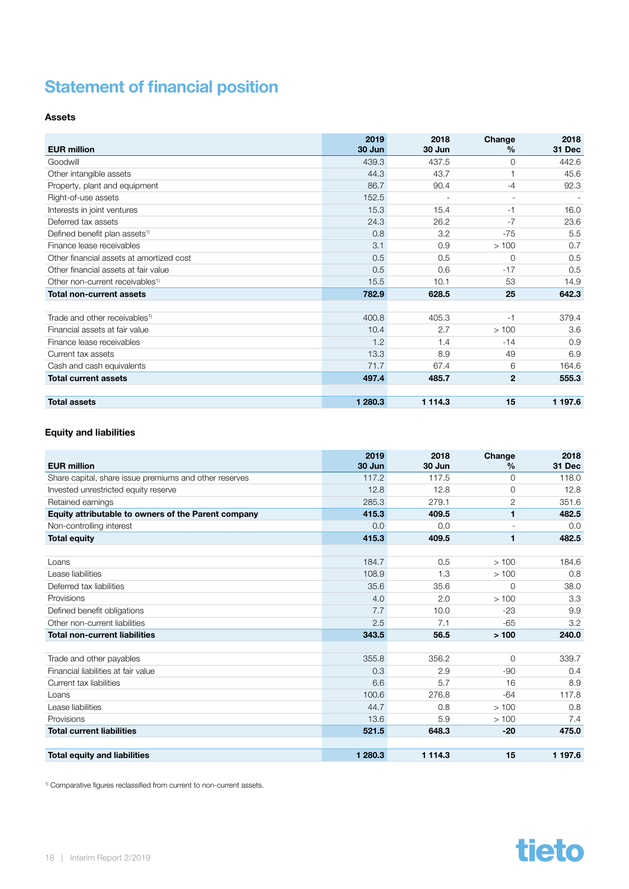### <span id="page-17-0"></span>Statement of financial position

#### Assets

| <b>EUR million</b>                          | 2019    | 2018       | Change        | 2018    |
|---------------------------------------------|---------|------------|---------------|---------|
|                                             | 30 Jun  | 30 Jun     | $\frac{0}{0}$ | 31 Dec  |
| Goodwill                                    | 439.3   | 437.5      | $\Omega$      | 442.6   |
| Other intangible assets                     | 44.3    | 43.7       |               | 45.6    |
| Property, plant and equipment               | 86.7    | 90.4       | $-4$          | 92.3    |
| Right-of-use assets                         | 152.5   |            |               |         |
| Interests in joint ventures                 | 15.3    | 15.4       | $-1$          | 16.0    |
| Deferred tax assets                         | 24.3    | 26.2       | $-7$          | 23.6    |
| Defined benefit plan assets <sup>1)</sup>   | 0.8     | 3.2        | $-75$         | 5.5     |
| Finance lease receivables                   | 3.1     | 0.9        | >100          | 0.7     |
| Other financial assets at amortized cost    | 0.5     | 0.5        | $\Omega$      | 0.5     |
| Other financial assets at fair value        | 0.5     | 0.6        | $-17$         | 0.5     |
| Other non-current receivables <sup>1)</sup> | 15.5    | 10.1       | 53            | 14.9    |
| <b>Total non-current assets</b>             | 782.9   | 628.5      | 25            | 642.3   |
|                                             |         |            |               |         |
| Trade and other receivables <sup>1)</sup>   | 400.8   | 405.3      | $-1$          | 379.4   |
| Financial assets at fair value              | 10.4    | 2.7        | >100          | 3.6     |
| Finance lease receivables                   | 1.2     | 1.4        | $-14$         | 0.9     |
| Current tax assets                          | 13.3    | 8.9        | 49            | 6.9     |
| Cash and cash equivalents                   | 71.7    | 67.4       | 6             | 164.6   |
| <b>Total current assets</b>                 | 497.4   | 485.7      | $\mathbf{2}$  | 555.3   |
| <b>Total assets</b>                         | 1 280.3 | 1 1 1 4 .3 | 15            | 1 197.6 |

#### Equity and liabilities

| <b>EUR million</b>                                     | 2019<br>30 Jun | 2018<br>30 Jun | Change<br>$\%$ | 2018<br>31 Dec |
|--------------------------------------------------------|----------------|----------------|----------------|----------------|
| Share capital, share issue premiums and other reserves | 117.2          | 117.5          | $\Omega$       | 118.0          |
| Invested unrestricted equity reserve                   | 12.8           | 12.8           | $\Omega$       | 12.8           |
| Retained earnings                                      | 285.3          | 279.1          | $\overline{2}$ | 351.6          |
| Equity attributable to owners of the Parent company    | 415.3          | 409.5          | 1              | 482.5          |
| Non-controlling interest                               | 0.0            | 0.0            | ٠              | 0.0            |
| <b>Total equity</b>                                    | 415.3          | 409.5          | 1              | 482.5          |
|                                                        |                |                |                |                |
| Loans                                                  | 184.7          | 0.5            | >100           | 184.6          |
| Lease liabilities                                      | 108.9          | 1.3            | >100           | 0.8            |
| Deferred tax liabilities                               | 35.6           | 35.6           | $\Omega$       | 38.0           |
| Provisions                                             | 4.0            | 2.0            | >100           | 3.3            |
| Defined benefit obligations                            | 7.7            | 10.0           | $-23$          | 9.9            |
| Other non-current liabilities                          | 2.5            | 7.1            | $-65$          | 3.2            |
| <b>Total non-current liabilities</b>                   | 343.5          | 56.5           | >100           | 240.0          |
|                                                        |                |                |                |                |
| Trade and other payables                               | 355.8          | 356.2          | $\Omega$       | 339.7          |
| Financial liabilities at fair value                    | 0.3            | 2.9            | $-90$          | 0.4            |
| Current tax liabilities                                | 6.6            | 5.7            | 16             | 8.9            |
| Loans                                                  | 100.6          | 276.8          | $-64$          | 117.8          |
| Lease liabilities                                      | 44.7           | 0.8            | >100           | 0.8            |
| Provisions                                             | 13.6           | 5.9            | >100           | 7.4            |
| <b>Total current liabilities</b>                       | 521.5          | 648.3          | $-20$          | 475.0          |
|                                                        |                |                |                |                |
| <b>Total equity and liabilities</b>                    | 1 280.3        | 1 1 1 4 .3     | 15             | 1 197.6        |

<sup>1)</sup> Comparative figures reclassified from current to non-current assets.

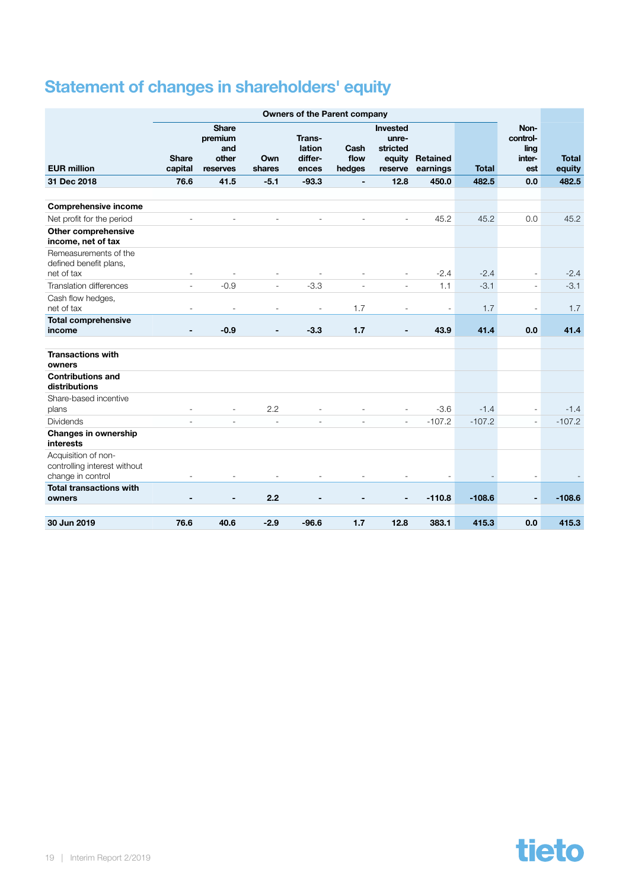# <span id="page-18-0"></span>Statement of changes in shareholders' equity

|                                                                          |                          |                                                     |                          | <b>Owners of the Parent company</b>  |                          |                                          |                             |              |                                           |                        |
|--------------------------------------------------------------------------|--------------------------|-----------------------------------------------------|--------------------------|--------------------------------------|--------------------------|------------------------------------------|-----------------------------|--------------|-------------------------------------------|------------------------|
| <b>EUR million</b>                                                       | <b>Share</b><br>capital  | <b>Share</b><br>premium<br>and<br>other<br>reserves | Own<br>shares            | Trans-<br>lation<br>differ-<br>ences | Cash<br>flow<br>hedges   | Invested<br>unre-<br>stricted<br>reserve | equity Retained<br>earnings | <b>Total</b> | Non-<br>control-<br>ling<br>inter-<br>est | <b>Total</b><br>equity |
| 31 Dec 2018                                                              | 76.6                     | 41.5                                                | $-5.1$                   | $-93.3$                              | $\overline{\phantom{a}}$ | 12.8                                     | 450.0                       | 482.5        | 0.0                                       | 482.5                  |
|                                                                          |                          |                                                     |                          |                                      |                          |                                          |                             |              |                                           |                        |
| <b>Comprehensive income</b>                                              |                          |                                                     |                          |                                      |                          |                                          |                             |              |                                           |                        |
| Net profit for the period                                                |                          |                                                     |                          |                                      |                          |                                          | 45.2                        | 45.2         | 0.0                                       | 45.2                   |
| <b>Other comprehensive</b><br>income, net of tax                         |                          |                                                     |                          |                                      |                          |                                          |                             |              |                                           |                        |
| Remeasurements of the<br>defined benefit plans,                          |                          |                                                     |                          |                                      |                          |                                          |                             |              |                                           |                        |
| net of tax                                                               | ۰                        | $\overline{\phantom{a}}$                            | $\overline{a}$           | $\overline{a}$                       | $\overline{\phantom{m}}$ | $\overline{a}$                           | $-2.4$                      | $-2.4$       | $\overline{\phantom{a}}$                  | $-2.4$                 |
| Translation differences                                                  | $\overline{\phantom{a}}$ | $-0.9$                                              | $\overline{\phantom{a}}$ | $-3.3$                               | L,                       | $\overline{\phantom{a}}$                 | 1.1                         | $-3.1$       | $\overline{\phantom{a}}$                  | $-3.1$                 |
| Cash flow hedges,<br>net of tax                                          | Ĭ.                       |                                                     | L,                       | $\overline{a}$                       | 1.7                      | ÷,                                       | $\sim$                      | 1.7          | ÷,                                        | 1.7                    |
| <b>Total comprehensive</b><br>income                                     |                          | $-0.9$                                              | $\blacksquare$           | $-3.3$                               | 1.7                      | $\qquad \qquad \blacksquare$             | 43.9                        | 41.4         | 0.0                                       | 41.4                   |
| <b>Transactions with</b><br>owners                                       |                          |                                                     |                          |                                      |                          |                                          |                             |              |                                           |                        |
| <b>Contributions and</b><br>distributions                                |                          |                                                     |                          |                                      |                          |                                          |                             |              |                                           |                        |
| Share-based incentive<br>plans                                           | ٠                        | $\overline{\phantom{a}}$                            | 2.2                      |                                      |                          | $\overline{\phantom{a}}$                 | $-3.6$                      | $-1.4$       | $\overline{\phantom{a}}$                  | $-1.4$                 |
| <b>Dividends</b>                                                         |                          |                                                     |                          |                                      |                          | $\overline{\phantom{a}}$                 | $-107.2$                    | $-107.2$     | $\overline{\phantom{a}}$                  | $-107.2$               |
| <b>Changes in ownership</b><br>interests                                 |                          |                                                     |                          |                                      |                          |                                          |                             |              |                                           |                        |
| Acquisition of non-<br>controlling interest without<br>change in control |                          |                                                     |                          |                                      |                          |                                          |                             |              |                                           |                        |
| <b>Total transactions with</b><br>owners                                 |                          |                                                     | 2.2                      |                                      |                          |                                          | $-110.8$                    | $-108.6$     | $\overline{\phantom{0}}$                  | $-108.6$               |
| 30 Jun 2019                                                              | 76.6                     | 40.6                                                | $-2.9$                   | $-96.6$                              | 1.7                      | 12.8                                     | 383.1                       | 415.3        | 0.0                                       | 415.3                  |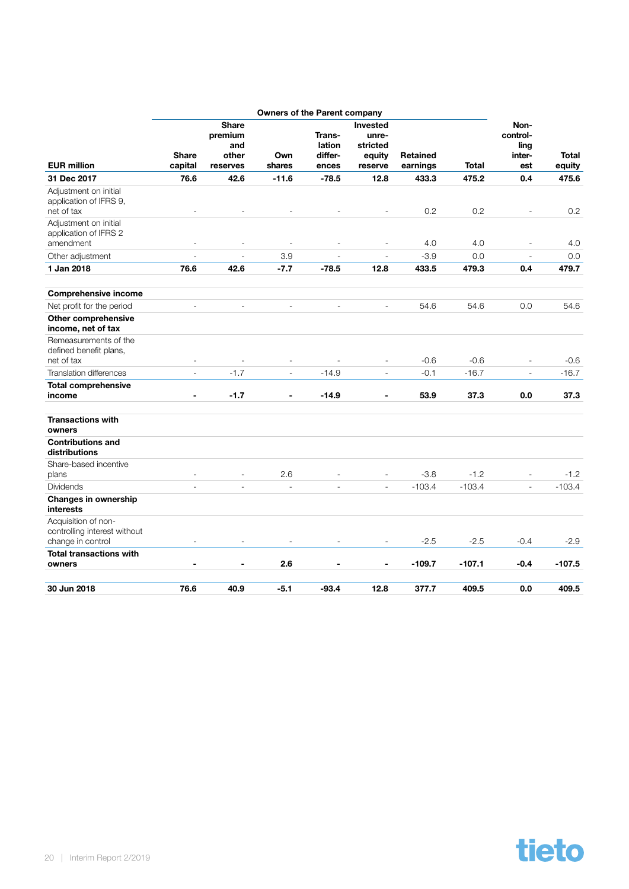|                                                               |                          |                                                     | <b>Owners of the Parent company</b> |                                      |                                                           |                             |              |                                           |                 |
|---------------------------------------------------------------|--------------------------|-----------------------------------------------------|-------------------------------------|--------------------------------------|-----------------------------------------------------------|-----------------------------|--------------|-------------------------------------------|-----------------|
| <b>EUR million</b>                                            | <b>Share</b><br>capital  | <b>Share</b><br>premium<br>and<br>other<br>reserves | Own<br>shares                       | Trans-<br>lation<br>differ-<br>ences | <b>Invested</b><br>unre-<br>stricted<br>equity<br>reserve | <b>Retained</b><br>earnings | <b>Total</b> | Non-<br>control-<br>ling<br>inter-<br>est | Total<br>equity |
| 31 Dec 2017                                                   | 76.6                     | 42.6                                                | $-11.6$                             | $-78.5$                              | 12.8                                                      | 433.3                       | 475.2        | 0.4                                       | 475.6           |
| Adjustment on initial<br>application of IFRS 9,<br>net of tax |                          |                                                     |                                     |                                      |                                                           | 0.2                         | 0.2          |                                           | 0.2             |
| Adjustment on initial<br>application of IFRS 2<br>amendment   | $\bar{\phantom{a}}$      |                                                     |                                     | $\overline{a}$                       | ÷,                                                        | 4.0                         | 4.0          | ÷,                                        | 4.0             |
| Other adjustment                                              | ÷                        | L.                                                  | 3.9                                 |                                      | $\overline{\phantom{a}}$                                  | $-3.9$                      | 0.0          | $\overline{\phantom{a}}$                  | 0.0             |
| 1 Jan 2018                                                    | 76.6                     | 42.6                                                | $-7.7$                              | $-78.5$                              | 12.8                                                      | 433.5                       | 479.3        | 0.4                                       | 479.7           |
|                                                               |                          |                                                     |                                     |                                      |                                                           |                             |              |                                           |                 |
| <b>Comprehensive income</b>                                   |                          |                                                     |                                     |                                      |                                                           |                             |              |                                           |                 |
| Net profit for the period                                     | $\overline{\phantom{a}}$ | $\frac{1}{2}$                                       | $\frac{1}{2}$                       | $\overline{\phantom{a}}$             | $\overline{\phantom{a}}$                                  | 54.6                        | 54.6         | 0.0                                       | 54.6            |
| <b>Other comprehensive</b><br>income, net of tax              |                          |                                                     |                                     |                                      |                                                           |                             |              |                                           |                 |
| Remeasurements of the<br>defined benefit plans,               |                          |                                                     |                                     |                                      |                                                           |                             |              |                                           |                 |
| net of tax                                                    | $\overline{\phantom{m}}$ |                                                     |                                     |                                      | $\overline{\phantom{a}}$                                  | $-0.6$                      | $-0.6$       | $\overline{a}$                            | $-0.6$          |
| <b>Translation differences</b>                                | $\overline{a}$           | $-1.7$                                              | ÷,                                  | $-14.9$                              | $\overline{a}$                                            | $-0.1$                      | $-16.7$      | $\overline{a}$                            | $-16.7$         |
| <b>Total comprehensive</b><br>income                          | $\blacksquare$           | $-1.7$                                              | $\blacksquare$                      | $-14.9$                              | $\overline{\phantom{a}}$                                  | 53.9                        | 37.3         | 0.0                                       | 37.3            |
| <b>Transactions with</b><br>owners                            |                          |                                                     |                                     |                                      |                                                           |                             |              |                                           |                 |
| <b>Contributions and</b><br>distributions                     |                          |                                                     |                                     |                                      |                                                           |                             |              |                                           |                 |
| Share-based incentive<br>plans                                | L,                       | $\overline{\phantom{a}}$                            | 2.6                                 |                                      | $\overline{\phantom{a}}$                                  | $-3.8$                      | $-1.2$       | $\overline{\phantom{a}}$                  | $-1.2$          |
| <b>Dividends</b>                                              | L.                       | $\overline{a}$                                      | L,                                  | $\overline{a}$                       | $\sim$                                                    | $-103.4$                    | $-103.4$     | $\overline{\phantom{a}}$                  | $-103.4$        |
| Changes in ownership<br>interests                             |                          |                                                     |                                     |                                      |                                                           |                             |              |                                           |                 |
| Acquisition of non-<br>controlling interest without           | $\overline{\phantom{a}}$ |                                                     |                                     |                                      | $\overline{a}$                                            | $-2.5$                      |              | $-0.4$                                    |                 |
| change in control<br><b>Total transactions with</b>           |                          |                                                     |                                     |                                      |                                                           |                             | $-2.5$       |                                           | $-2.9$          |
| owners                                                        | $\blacksquare$           | $\blacksquare$                                      | 2.6                                 | $\blacksquare$                       | $\blacksquare$                                            | $-109.7$                    | $-107.1$     | $-0.4$                                    | $-107.5$        |
| 30 Jun 2018                                                   | 76.6                     | 40.9                                                | $-5.1$                              | $-93.4$                              | 12.8                                                      | 377.7                       | 409.5        | 0.0                                       | 409.5           |

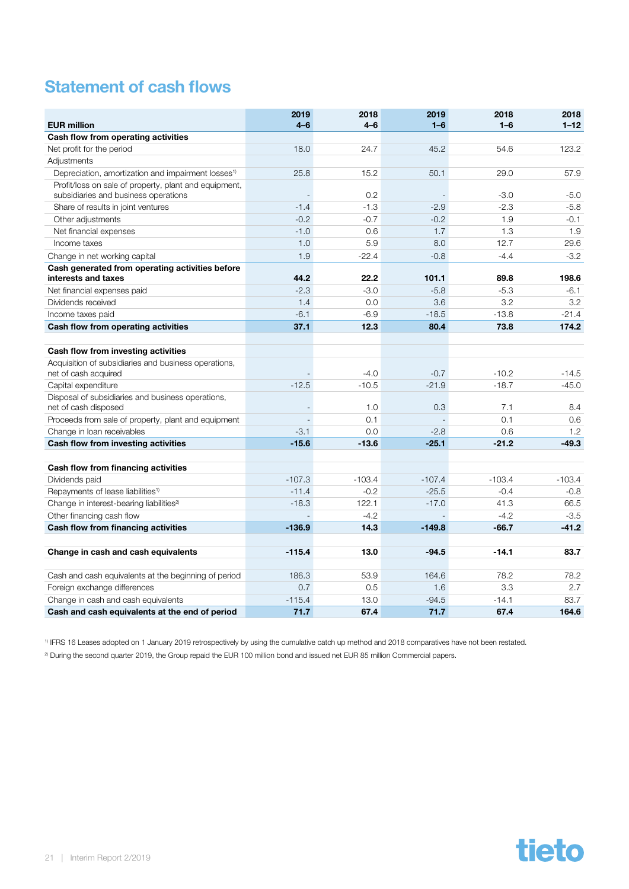### <span id="page-20-0"></span>Statement of cash flows

| <b>EUR million</b>                                                           | 2019<br>$4 - 6$ | 2018<br>$4 - 6$ | 2019<br>$1 - 6$ | 2018<br>$1 - 6$ | 2018<br>$1 - 12$ |
|------------------------------------------------------------------------------|-----------------|-----------------|-----------------|-----------------|------------------|
| Cash flow from operating activities                                          |                 |                 |                 |                 |                  |
| Net profit for the period                                                    | 18.0            | 24.7            | 45.2            | 54.6            | 123.2            |
| Adjustments                                                                  |                 |                 |                 |                 |                  |
| Depreciation, amortization and impairment losses <sup>1)</sup>               | 25.8            | 15.2            | 50.1            | 29.0            | 57.9             |
| Profit/loss on sale of property, plant and equipment,                        |                 |                 |                 |                 |                  |
| subsidiaries and business operations                                         |                 | 0.2             |                 | $-3.0$          | $-5.0$           |
| Share of results in joint ventures                                           | $-1.4$          | $-1.3$          | $-2.9$          | $-2.3$          | $-5.8$           |
| Other adjustments                                                            | $-0.2$          | $-0.7$          | $-0.2$          | 1.9             | $-0.1$           |
| Net financial expenses                                                       | $-1.0$          | 0.6             | 1.7             | 1.3             | 1.9              |
| Income taxes                                                                 | 1.0             | 5.9             | 8.0             | 12.7            | 29.6             |
| Change in net working capital                                                | 1.9             | $-22.4$         | $-0.8$          | $-4.4$          | $-3.2$           |
| Cash generated from operating activities before<br>interests and taxes       | 44.2            | 22.2            | 101.1           | 89.8            | 198.6            |
| Net financial expenses paid                                                  | $-2.3$          | $-3.0$          | $-5.8$          | $-5.3$          | $-6.1$           |
| Dividends received                                                           | 1.4             | 0.0             | 3.6             | 3.2             | 3.2              |
| Income taxes paid                                                            | $-6.1$          | $-6.9$          | $-18.5$         | $-13.8$         | $-21.4$          |
| Cash flow from operating activities                                          | 37.1            | 12.3            | 80.4            | 73.8            | 174.2            |
|                                                                              |                 |                 |                 |                 |                  |
| Cash flow from investing activities                                          |                 |                 |                 |                 |                  |
| Acquisition of subsidiaries and business operations,<br>net of cash acquired |                 | $-4.0$          | $-0.7$          | $-10.2$         | $-14.5$          |
| Capital expenditure                                                          | $-12.5$         | $-10.5$         | $-21.9$         | $-18.7$         | $-45.0$          |
| Disposal of subsidiaries and business operations,<br>net of cash disposed    |                 | 1.0             | 0.3             | 7.1             | 8.4              |
| Proceeds from sale of property, plant and equipment                          |                 | 0.1             |                 | 0.1             | 0.6              |
| Change in loan receivables                                                   | $-3.1$          | 0.0             | $-2.8$          | 0.6             | 1.2              |
| Cash flow from investing activities                                          | $-15.6$         | $-13.6$         | $-25.1$         | $-21.2$         | $-49.3$          |
| Cash flow from financing activities                                          |                 |                 |                 |                 |                  |
| Dividends paid                                                               | $-107.3$        | $-103.4$        | $-107.4$        | $-103.4$        | $-103.4$         |
| Repayments of lease liabilities <sup>1)</sup>                                | $-11.4$         | $-0.2$          | $-25.5$         | $-0.4$          | $-0.8$           |
| Change in interest-bearing liabilities <sup>2)</sup>                         | $-18.3$         | 122.1           | $-17.0$         | 41.3            | 66.5             |
| Other financing cash flow                                                    |                 | $-4.2$          |                 | $-4.2$          | $-3.5$           |
| Cash flow from financing activities                                          | $-136.9$        | 14.3            | $-149.8$        | $-66.7$         | $-41.2$          |
|                                                                              |                 |                 |                 |                 |                  |
| Change in cash and cash equivalents                                          | $-115.4$        | 13.0            | $-94.5$         | $-14.1$         | 83.7             |
| Cash and cash equivalents at the beginning of period                         | 186.3           | 53.9            | 164.6           | 78.2            | 78.2             |
| Foreign exchange differences                                                 | 0.7             | 0.5             | 1.6             | 3.3             | 2.7              |
| Change in cash and cash equivalents                                          | $-115.4$        | 13.0            | $-94.5$         | $-14.1$         | 83.7             |
| Cash and cash equivalents at the end of period                               | 71.7            | 67.4            | 71.7            | 67.4            | 164.6            |

1) IFRS 16 Leases adopted on 1 January 2019 retrospectively by using the cumulative catch up method and 2018 comparatives have not been restated.

<sup>2)</sup> During the second quarter 2019, the Group repaid the EUR 100 million bond and issued net EUR 85 million Commercial papers.

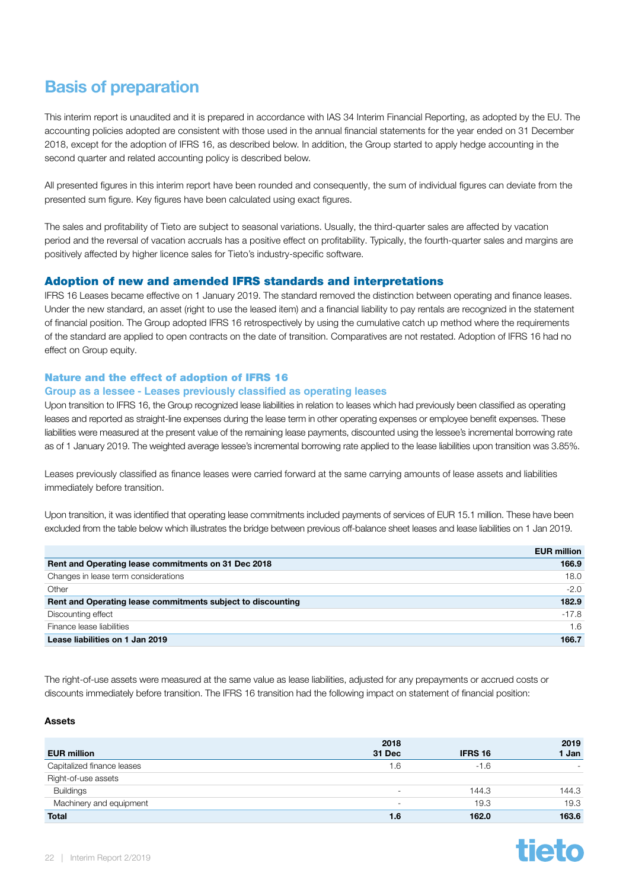### <span id="page-21-0"></span>Basis of preparation

This interim report is unaudited and it is prepared in accordance with IAS 34 Interim Financial Reporting, as adopted by the EU. The accounting policies adopted are consistent with those used in the annual financial statements for the year ended on 31 December 2018, except for the adoption of IFRS 16, as described below. In addition, the Group started to apply hedge accounting in the second quarter and related accounting policy is described below.

All presented figures in this interim report have been rounded and consequently, the sum of individual figures can deviate from the presented sum figure. Key figures have been calculated using exact figures.

The sales and profitability of Tieto are subject to seasonal variations. Usually, the third-quarter sales are affected by vacation period and the reversal of vacation accruals has a positive effect on profitability. Typically, the fourth-quarter sales and margins are positively affected by higher licence sales for Tieto's industry-specific software.

#### Adoption of new and amended IFRS standards and interpretations

IFRS 16 Leases became effective on 1 January 2019. The standard removed the distinction between operating and finance leases. Under the new standard, an asset (right to use the leased item) and a financial liability to pay rentals are recognized in the statement of financial position. The Group adopted IFRS 16 retrospectively by using the cumulative catch up method where the requirements of the standard are applied to open contracts on the date of transition. Comparatives are not restated. Adoption of IFRS 16 had no effect on Group equity.

#### Nature and the effect of adoption of IFRS 16

#### **Group as a lessee - Leases previously classified as operating leases**

Upon transition to IFRS 16, the Group recognized lease liabilities in relation to leases which had previously been classified as operating leases and reported as straight-line expenses during the lease term in other operating expenses or employee benefit expenses. These liabilities were measured at the present value of the remaining lease payments, discounted using the lessee's incremental borrowing rate as of 1 January 2019. The weighted average lessee's incremental borrowing rate applied to the lease liabilities upon transition was 3.85%.

Leases previously classified as finance leases were carried forward at the same carrying amounts of lease assets and liabilities immediately before transition.

Upon transition, it was identified that operating lease commitments included payments of services of EUR 15.1 million. These have been excluded from the table below which illustrates the bridge between previous off-balance sheet leases and lease liabilities on 1 Jan 2019.

|                                                             | <b>EUR million</b> |
|-------------------------------------------------------------|--------------------|
| Rent and Operating lease commitments on 31 Dec 2018         | 166.9              |
| Changes in lease term considerations                        | 18.0               |
| Other                                                       | $-2.0$             |
| Rent and Operating lease commitments subject to discounting | 182.9              |
| Discounting effect                                          | $-17.8$            |
| Finance lease liabilities                                   | 1.6                |
| Lease liabilities on 1 Jan 2019                             | 166.7              |

The right-of-use assets were measured at the same value as lease liabilities, adjusted for any prepayments or accrued costs or discounts immediately before transition. The IFRS 16 transition had the following impact on statement of financial position:

#### Assets

| <b>EUR million</b>         | 2018<br>31 Dec           | <b>IFRS 16</b> | 2019<br>1 Jan            |
|----------------------------|--------------------------|----------------|--------------------------|
| Capitalized finance leases | 1.6                      | $-1.6$         | $\overline{\phantom{a}}$ |
| Right-of-use assets        |                          |                |                          |
| <b>Buildings</b>           | $\overline{\phantom{a}}$ | 144.3          | 144.3                    |
| Machinery and equipment    | -                        | 19.3           | 19.3                     |
| <b>Total</b>               | 1.6                      | 162.0          | 163.6                    |

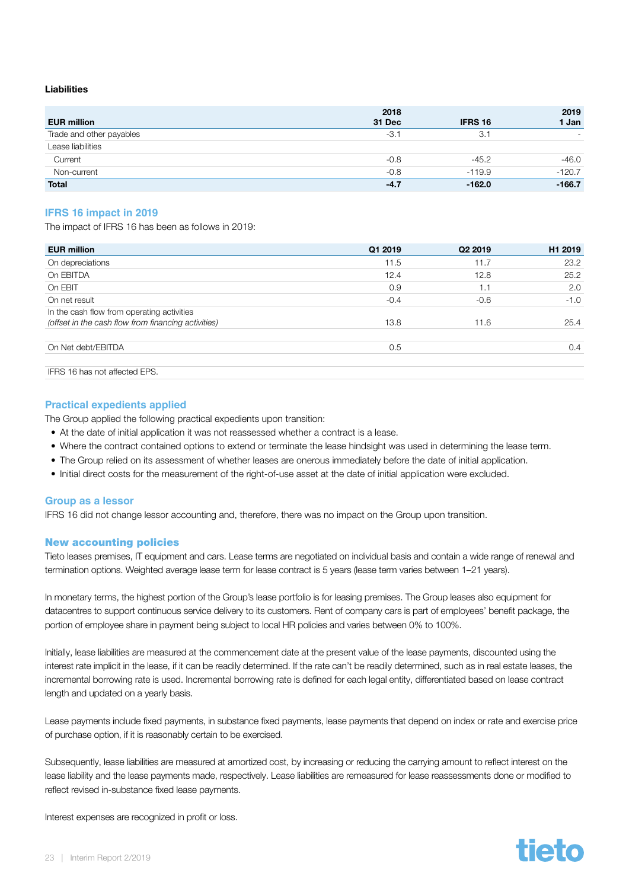#### Liabilities

| <b>EUR million</b>       | 2018<br>31 Dec | <b>IFRS 16</b> | 2019<br>1 Jan |
|--------------------------|----------------|----------------|---------------|
| Trade and other payables | $-3.1$         | 3.1            |               |
| Lease liabilities        |                |                |               |
| Current                  | $-0.8$         | $-45.2$        | $-46.0$       |
| Non-current              | $-0.8$         | $-119.9$       | $-120.7$      |
| <b>Total</b>             | $-4.7$         | $-162.0$       | $-166.7$      |

#### **IFRS 16 impact in 2019**

The impact of IFRS 16 has been as follows in 2019:

| <b>EUR million</b>                                                                                | Q1 2019 | Q <sub>2</sub> 2019 | H <sub>1</sub> 2019 |
|---------------------------------------------------------------------------------------------------|---------|---------------------|---------------------|
| On depreciations                                                                                  | 11.5    | 11.7                | 23.2                |
| On EBITDA                                                                                         | 12.4    | 12.8                | 25.2                |
| On EBIT                                                                                           | 0.9     | 1.1                 | 2.0                 |
| On net result                                                                                     | $-0.4$  | $-0.6$              | $-1.0$              |
| In the cash flow from operating activities<br>(offset in the cash flow from financing activities) | 13.8    | 11.6                | 25.4                |
| On Net debt/EBITDA                                                                                | 0.5     |                     | 0.4                 |
| IFRS 16 has not affected EPS.                                                                     |         |                     |                     |

#### **Practical expedients applied**

The Group applied the following practical expedients upon transition:

- At the date of initial application it was not reassessed whether a contract is a lease.
- Where the contract contained options to extend or terminate the lease hindsight was used in determining the lease term.
- The Group relied on its assessment of whether leases are onerous immediately before the date of initial application.
- Initial direct costs for the measurement of the right-of-use asset at the date of initial application were excluded.

#### **Group as a lessor**

IFRS 16 did not change lessor accounting and, therefore, there was no impact on the Group upon transition.

#### New accounting policies

Tieto leases premises, IT equipment and cars. Lease terms are negotiated on individual basis and contain a wide range of renewal and termination options. Weighted average lease term for lease contract is 5 years (lease term varies between 1–21 years).

In monetary terms, the highest portion of the Group's lease portfolio is for leasing premises. The Group leases also equipment for datacentres to support continuous service delivery to its customers. Rent of company cars is part of employees' benefit package, the portion of employee share in payment being subject to local HR policies and varies between 0% to 100%.

Initially, lease liabilities are measured at the commencement date at the present value of the lease payments, discounted using the interest rate implicit in the lease, if it can be readily determined. If the rate can't be readily determined, such as in real estate leases, the incremental borrowing rate is used. Incremental borrowing rate is defined for each legal entity, differentiated based on lease contract length and updated on a yearly basis.

Lease payments include fixed payments, in substance fixed payments, lease payments that depend on index or rate and exercise price of purchase option, if it is reasonably certain to be exercised.

Subsequently, lease liabilities are measured at amortized cost, by increasing or reducing the carrying amount to reflect interest on the lease liability and the lease payments made, respectively. Lease liabilities are remeasured for lease reassessments done or modified to reflect revised in-substance fixed lease payments.

Interest expenses are recognized in profit or loss.

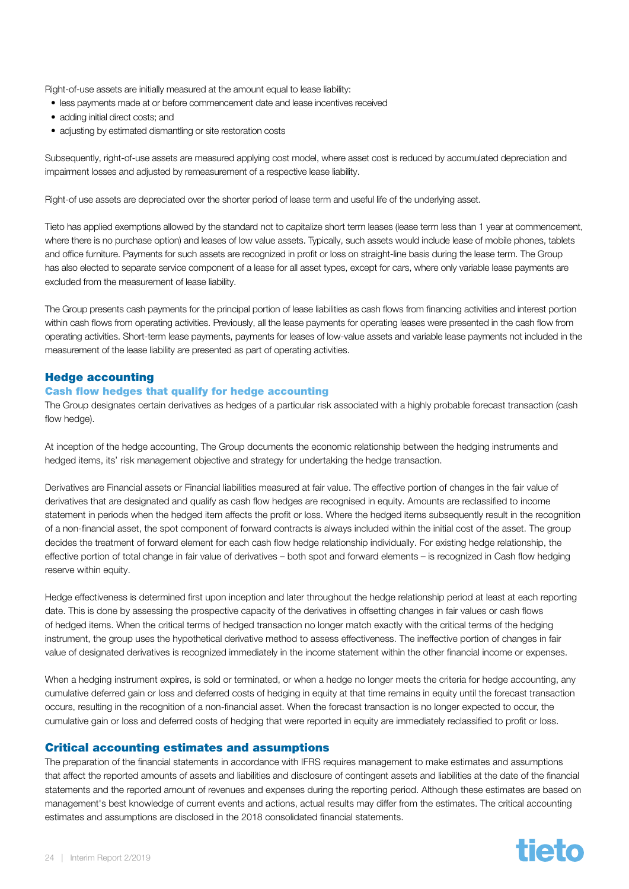Right-of-use assets are initially measured at the amount equal to lease liability:

- less payments made at or before commencement date and lease incentives received
- adding initial direct costs; and
- adjusting by estimated dismantling or site restoration costs

Subsequently, right-of-use assets are measured applying cost model, where asset cost is reduced by accumulated depreciation and impairment losses and adjusted by remeasurement of a respective lease liability.

Right-of use assets are depreciated over the shorter period of lease term and useful life of the underlying asset.

Tieto has applied exemptions allowed by the standard not to capitalize short term leases (lease term less than 1 year at commencement, where there is no purchase option) and leases of low value assets. Typically, such assets would include lease of mobile phones, tablets and office furniture. Payments for such assets are recognized in profit or loss on straight-line basis during the lease term. The Group has also elected to separate service component of a lease for all asset types, except for cars, where only variable lease payments are excluded from the measurement of lease liability.

The Group presents cash payments for the principal portion of lease liabilities as cash flows from financing activities and interest portion within cash flows from operating activities. Previously, all the lease payments for operating leases were presented in the cash flow from operating activities. Short-term lease payments, payments for leases of low-value assets and variable lease payments not included in the measurement of the lease liability are presented as part of operating activities.

#### Hedge accounting

#### Cash flow hedges that qualify for hedge accounting

The Group designates certain derivatives as hedges of a particular risk associated with a highly probable forecast transaction (cash flow hedge).

At inception of the hedge accounting, The Group documents the economic relationship between the hedging instruments and hedged items, its' risk management objective and strategy for undertaking the hedge transaction.

Derivatives are Financial assets or Financial liabilities measured at fair value. The effective portion of changes in the fair value of derivatives that are designated and qualify as cash flow hedges are recognised in equity. Amounts are reclassified to income statement in periods when the hedged item affects the profit or loss. Where the hedged items subsequently result in the recognition of a non-financial asset, the spot component of forward contracts is always included within the initial cost of the asset. The group decides the treatment of forward element for each cash flow hedge relationship individually. For existing hedge relationship, the effective portion of total change in fair value of derivatives – both spot and forward elements – is recognized in Cash flow hedging reserve within equity.

Hedge effectiveness is determined first upon inception and later throughout the hedge relationship period at least at each reporting date. This is done by assessing the prospective capacity of the derivatives in offsetting changes in fair values or cash flows of hedged items. When the critical terms of hedged transaction no longer match exactly with the critical terms of the hedging instrument, the group uses the hypothetical derivative method to assess effectiveness. The ineffective portion of changes in fair value of designated derivatives is recognized immediately in the income statement within the other financial income or expenses.

When a hedging instrument expires, is sold or terminated, or when a hedge no longer meets the criteria for hedge accounting, any cumulative deferred gain or loss and deferred costs of hedging in equity at that time remains in equity until the forecast transaction occurs, resulting in the recognition of a non-financial asset. When the forecast transaction is no longer expected to occur, the cumulative gain or loss and deferred costs of hedging that were reported in equity are immediately reclassified to profit or loss.

#### Critical accounting estimates and assumptions

The preparation of the financial statements in accordance with IFRS requires management to make estimates and assumptions that affect the reported amounts of assets and liabilities and disclosure of contingent assets and liabilities at the date of the financial statements and the reported amount of revenues and expenses during the reporting period. Although these estimates are based on management's best knowledge of current events and actions, actual results may differ from the estimates. The critical accounting estimates and assumptions are disclosed in the 2018 consolidated financial statements.

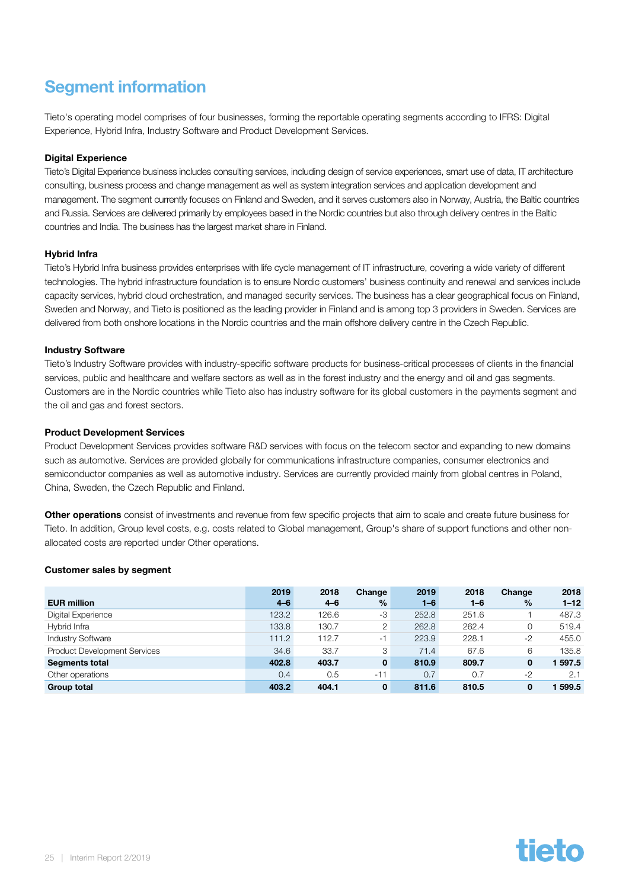### <span id="page-24-0"></span>Segment information

Tieto's operating model comprises of four businesses, forming the reportable operating segments according to IFRS: Digital Experience, Hybrid Infra, Industry Software and Product Development Services.

#### Digital Experience

Tieto's Digital Experience business includes consulting services, including design of service experiences, smart use of data, IT architecture consulting, business process and change management as well as system integration services and application development and management. The segment currently focuses on Finland and Sweden, and it serves customers also in Norway, Austria, the Baltic countries and Russia. Services are delivered primarily by employees based in the Nordic countries but also through delivery centres in the Baltic countries and India. The business has the largest market share in Finland.

#### Hybrid Infra

Tieto's Hybrid Infra business provides enterprises with life cycle management of IT infrastructure, covering a wide variety of different technologies. The hybrid infrastructure foundation is to ensure Nordic customers' business continuity and renewal and services include capacity services, hybrid cloud orchestration, and managed security services. The business has a clear geographical focus on Finland, Sweden and Norway, and Tieto is positioned as the leading provider in Finland and is among top 3 providers in Sweden. Services are delivered from both onshore locations in the Nordic countries and the main offshore delivery centre in the Czech Republic.

#### Industry Software

Tieto's Industry Software provides with industry-specific software products for business-critical processes of clients in the financial services, public and healthcare and welfare sectors as well as in the forest industry and the energy and oil and gas segments. Customers are in the Nordic countries while Tieto also has industry software for its global customers in the payments segment and the oil and gas and forest sectors.

#### Product Development Services

Product Development Services provides software R&D services with focus on the telecom sector and expanding to new domains such as automotive. Services are provided globally for communications infrastructure companies, consumer electronics and semiconductor companies as well as automotive industry. Services are currently provided mainly from global centres in Poland, China, Sweden, the Czech Republic and Finland.

Other operations consist of investments and revenue from few specific projects that aim to scale and create future business for Tieto. In addition, Group level costs, e.g. costs related to Global management, Group's share of support functions and other nonallocated costs are reported under Other operations.

#### Customer sales by segment

| <b>EUR million</b>                  | 2019<br>$4 - 6$ | 2018<br>$4 - 6$ | Change<br>$\%$ | 2019<br>$1 - 6$ | 2018<br>$1 - 6$ | Change<br>$\frac{9}{6}$ | 2018<br>$1 - 12$ |
|-------------------------------------|-----------------|-----------------|----------------|-----------------|-----------------|-------------------------|------------------|
| Digital Experience                  | 123.2           | 126.6           | -3             | 252.8           | 251.6           |                         | 487.3            |
| Hybrid Infra                        | 133.8           | 130.7           | 2              | 262.8           | 262.4           | 0                       | 519.4            |
| <b>Industry Software</b>            | 111.2           | 112.7           | $-1$           | 223.9           | 228.1           | $-2$                    | 455.0            |
| <b>Product Development Services</b> | 34.6            | 33.7            | 3              | 71.4            | 67.6            | 6                       | 135.8            |
| <b>Segments total</b>               | 402.8           | 403.7           | 0              | 810.9           | 809.7           | 0                       | 597.5            |
| Other operations                    | 0.4             | 0.5             | $-11$          | 0.7             | 0.7             | $-2$                    | 2.1              |
| <b>Group total</b>                  | 403.2           | 404.1           | 0              | 811.6           | 810.5           | 0                       | 599.5            |

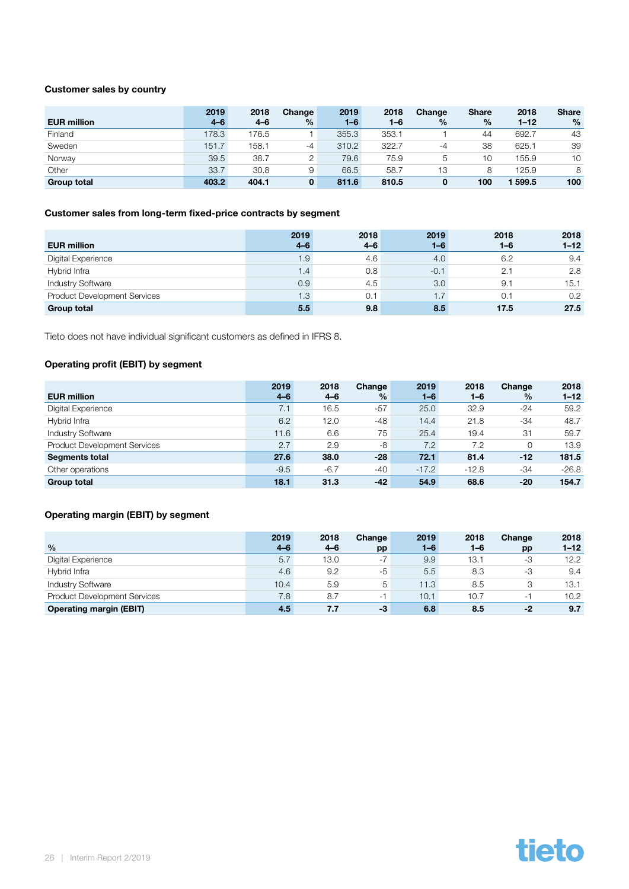#### Customer sales by country

|                    | 2019    | 2018    | Change        | 2019    | 2018    | Change | <b>Share</b>  | 2018     | <b>Share</b>  |
|--------------------|---------|---------|---------------|---------|---------|--------|---------------|----------|---------------|
| <b>EUR million</b> | $4 - 6$ | $4 - 6$ | $\frac{9}{6}$ | $1 - 6$ | $1 - 6$ | $\%$   | $\frac{9}{6}$ | $1 - 12$ | $\frac{0}{0}$ |
| Finland            | 178.3   | 176.5   |               | 355.3   | 353.1   |        | 44            | 692.7    | 43            |
| Sweden             | 151.7   | 158.1   | $-4$          | 310.2   | 322.7   | -4     | 38            | 625.1    | 39            |
| Norway             | 39.5    | 38.7    |               | 79.6    | 75.9    | b      | 10            | 155.9    | 10            |
| Other              | 33.7    | 30.8    | 9             | 66.5    | 58.7    | 13     | 8             | 125.9    | 8             |
| <b>Group total</b> | 403.2   | 404.1   | 0             | 811.6   | 810.5   |        | 100           | 599.5    | 100           |

#### Customer sales from long-term fixed-price contracts by segment

|                                     | 2019          | 2018 | 2019    | 2018    | 2018     |
|-------------------------------------|---------------|------|---------|---------|----------|
| <b>EUR million</b>                  | $4 - 6$       | 4–6  | $1 - 6$ | $1 - 6$ | $1 - 12$ |
| Digital Experience                  | 1.9           | 4.6  | 4.0     | 6.2     | 9.4      |
| Hybrid Infra                        | 1.4           | 0.8  | $-0.1$  | 2.1     | 2.8      |
| <b>Industry Software</b>            | 0.9           | 4.5  | 3.0     | 9.1     | 15.1     |
| <b>Product Development Services</b> | $1.3^{\circ}$ | 0.1  | ا7. ا   | 0.1     | 0.2      |
| <b>Group total</b>                  | 5.5           | 9.8  | 8.5     | 17.5    | 27.5     |

Tieto does not have individual significant customers as defined in IFRS 8.

#### Operating profit (EBIT) by segment

|                                     | 2019    | 2018   | Change | 2019    | 2018    | Change        | 2018     |
|-------------------------------------|---------|--------|--------|---------|---------|---------------|----------|
| <b>EUR million</b>                  | $4 - 6$ | 4–6    | $\%$   | $1 - 6$ | $1 - 6$ | $\frac{9}{6}$ | $1 - 12$ |
| Digital Experience                  | 7.1     | 16.5   | $-57$  | 25.0    | 32.9    | $-24$         | 59.2     |
| Hybrid Infra                        | 6.2     | 12.0   | -48    | 14.4    | 21.8    | $-34$         | 48.7     |
| <b>Industry Software</b>            | 11.6    | 6.6    | 75     | 25.4    | 19.4    | 31            | 59.7     |
| <b>Product Development Services</b> | 2.7     | 2.9    | -8     | 7.2     | 7.2     | 0             | 13.9     |
| <b>Segments total</b>               | 27.6    | 38.0   | $-28$  | 72.1    | 81.4    | -12           | 181.5    |
| Other operations                    | $-9.5$  | $-6.7$ | $-40$  | $-17.2$ | $-12.8$ | $-34$         | $-26.8$  |
| <b>Group total</b>                  | 18.1    | 31.3   | $-42$  | 54.9    | 68.6    | $-20$         | 154.7    |

#### Operating margin (EBIT) by segment

|                                     | 2019    | 2018 | Change                   | 2019    | 2018    | Change | 2018     |
|-------------------------------------|---------|------|--------------------------|---------|---------|--------|----------|
| $\frac{0}{0}$                       | $4 - 6$ | 4–6  | pp                       | $1 - 6$ | $1 - 6$ | pp     | $1 - 12$ |
| Digital Experience                  | 5.7     | 13.0 | $-7$                     | 9.9     | 13.1    | -3     | 12.2     |
| Hybrid Infra                        | 4.6     | 9.2  | $-5$                     | 5.5     | 8.3     | -3     | 9.4      |
| <b>Industry Software</b>            | 10.4    | 5.9  | 5                        | 11.3    | 8.5     | З      | 13.1     |
| <b>Product Development Services</b> | 7.8     | 8.7  | $\overline{\phantom{a}}$ | 10.1    | 10.7    | - 1    | 10.2     |
| <b>Operating margin (EBIT)</b>      | 4.5     | 7.7  | -3                       | 6.8     | 8.5     | $-2$   | 9.7      |

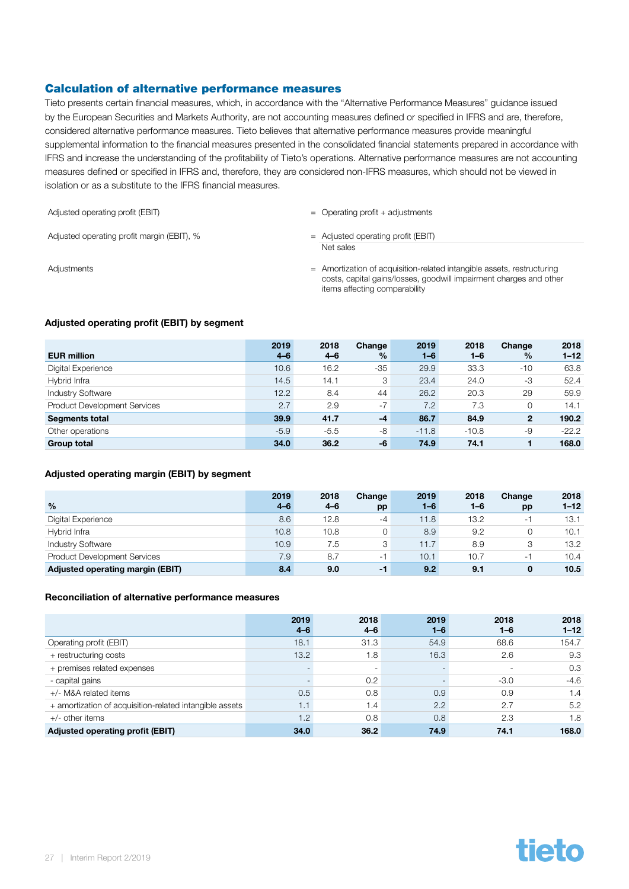#### Calculation of alternative performance measures

Tieto presents certain financial measures, which, in accordance with the "Alternative Performance Measures" guidance issued by the European Securities and Markets Authority, are not accounting measures defined or specified in IFRS and are, therefore, considered alternative performance measures. Tieto believes that alternative performance measures provide meaningful supplemental information to the financial measures presented in the consolidated financial statements prepared in accordance with IFRS and increase the understanding of the profitability of Tieto's operations. Alternative performance measures are not accounting measures defined or specified in IFRS and, therefore, they are considered non-IFRS measures, which should not be viewed in isolation or as a substitute to the IFRS financial measures.

| Adjusted operating profit (EBIT)           | $=$ Operating profit + adjustments                |
|--------------------------------------------|---------------------------------------------------|
| Adjusted operating profit margin (EBIT), % | $=$ Adjusted operating profit (EBIT)<br>Net sales |

Adjustments extending to the Amortization of acquisition-related intangible assets, restructuring costs, capital gains/losses, goodwill impairment charges and other items affecting comparability

#### Adjusted operating profit (EBIT) by segment

| <b>EUR million</b>                  | 2019<br>$4 - 6$ | 2018<br>4–6 | Change<br>% | 2019<br>$1 - 6$ | 2018<br>$1 - 6$ | Change<br>$\%$ | 2018<br>$1 - 12$ |
|-------------------------------------|-----------------|-------------|-------------|-----------------|-----------------|----------------|------------------|
| Digital Experience                  | 10.6            | 16.2        | -35         | 29.9            | 33.3            | $-10$          | 63.8             |
| Hybrid Infra                        | 14.5            | 14.1        | 3           | 23.4            | 24.0            | -3             | 52.4             |
| <b>Industry Software</b>            | 12.2            | 8.4         | 44          | 26.2            | 20.3            | 29             | 59.9             |
| <b>Product Development Services</b> | 2.7             | 2.9         | $-7$        | 7.2             | 7.3             |                | 14.1             |
| <b>Segments total</b>               | 39.9            | 41.7        | $-4$        | 86.7            | 84.9            | $\mathbf{2}$   | 190.2            |
| Other operations                    | $-5.9$          | $-5.5$      | -8          | $-11.8$         | $-10.8$         | -9             | $-22.2$          |
| <b>Group total</b>                  | 34.0            | 36.2        | -6          | 74.9            | 74.1            |                | 168.0            |

#### Adjusted operating margin (EBIT) by segment

|                                         | 2019    | 2018 | Change | 2019    | 2018    | Change                   | 2018     |
|-----------------------------------------|---------|------|--------|---------|---------|--------------------------|----------|
| $\frac{0}{0}$                           | $4 - 6$ | 4–6  | pp     | $1 - 6$ | $1 - 6$ | pp                       | $1 - 12$ |
| Digital Experience                      | 8.6     | 12.8 | $-4$   | 11.8    | 13.2    | $\overline{\phantom{a}}$ | 13.1     |
| Hybrid Infra                            | 10.8    | 10.8 |        | 8.9     | 9.2     |                          | 10.1     |
| <b>Industry Software</b>                | 10.9    | 7.5  | 3      | 11.7    | 8.9     | 3                        | 13.2     |
| <b>Product Development Services</b>     | 7.9     | 8.7  | ۰      | 10.1    | 10.7    |                          | 10.4     |
| <b>Adjusted operating margin (EBIT)</b> | 8.4     | 9.0  | $-1$   | 9.2     | 9.1     | 0                        | 10.5     |

#### Reconciliation of alternative performance measures

|                                                         | 2019<br>$4 - 6$          | 2018<br>$4 - 6$ | 2019<br>$1 - 6$ | 2018<br>$1 - 6$ | 2018<br>$1 - 12$ |
|---------------------------------------------------------|--------------------------|-----------------|-----------------|-----------------|------------------|
| Operating profit (EBIT)                                 | 18.1                     | 31.3            | 54.9            | 68.6            | 154.7            |
| + restructuring costs                                   | 13.2                     | 1.8             | 16.3            | 2.6             | 9.3              |
| + premises related expenses                             | $\overline{\phantom{a}}$ | ۰               |                 |                 | 0.3              |
| - capital gains                                         | $\overline{\phantom{a}}$ | 0.2             |                 | $-3.0$          | $-4.6$           |
| +/- M&A related items                                   | 0.5                      | 0.8             | 0.9             | 0.9             | 1.4              |
| + amortization of acquisition-related intangible assets | 1.1                      | 1.4             | 2.2             | 2.7             | 5.2              |
| $+/-$ other items                                       | 1.2                      | 0.8             | 0.8             | 2.3             | 1.8              |
| Adjusted operating profit (EBIT)                        | 34.0                     | 36.2            | 74.9            | 74.1            | 168.0            |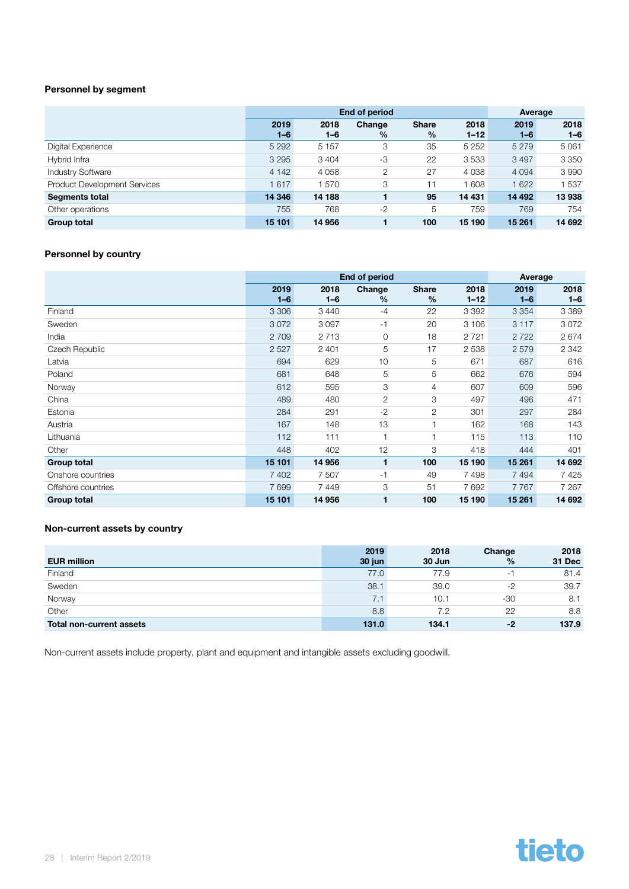#### Personnel by segment

|                                     |                 | <b>End of period</b> | Average        |                      |                  |                 |                 |
|-------------------------------------|-----------------|----------------------|----------------|----------------------|------------------|-----------------|-----------------|
|                                     | 2019<br>$1 - 6$ | 2018<br>$1 - 6$      | Change<br>$\%$ | <b>Share</b><br>$\%$ | 2018<br>$1 - 12$ | 2019<br>$1 - 6$ | 2018<br>$1 - 6$ |
| Digital Experience                  | 5 2 9 2         | 5 1 5 7              | 3              | 35                   | 5 2 5 2          | 5 2 7 9         | 5061            |
| Hybrid Infra                        | 3 2 9 5         | 3 4 0 4              | -3             | 22                   | 3533             | 3 4 9 7         | 3 3 5 0         |
| <b>Industry Software</b>            | 4 1 4 2         | 4 0 5 8              | 2              | 27                   | 4 0 3 8          | 4 0 9 4         | 3990            |
| <b>Product Development Services</b> | 617             | 1570                 | 3              | 11                   | 1608             | 1 622           | 537             |
| <b>Segments total</b>               | 14 346          | 14 188               |                | 95                   | 14 431           | 14 492          | 13 938          |
| Other operations                    | 755             | 768                  | $-2$           | 5                    | 759              | 769             | 754             |
| <b>Group total</b>                  | 15 101          | 14 956               |                | 100                  | 15 190           | 15 261          | 14 692          |

#### Personnel by country

|                    |                 | <b>End of period</b> | Average                 |                      |                  |                 |                 |
|--------------------|-----------------|----------------------|-------------------------|----------------------|------------------|-----------------|-----------------|
|                    | 2019<br>$1 - 6$ | 2018<br>$1 - 6$      | Change<br>$\frac{0}{0}$ | <b>Share</b><br>$\%$ | 2018<br>$1 - 12$ | 2019<br>$1 - 6$ | 2018<br>$1 - 6$ |
| Finland            | 3 3 0 6         | 3 4 4 0              | $-4$                    | 22                   | 3 3 9 2          | 3 3 5 4         | 3 3 8 9         |
| Sweden             | 3072            | 3097                 | $-1$                    | 20                   | 3 10 6           | 3 1 1 7         | 3072            |
| India              | 2 7 0 9         | 2 7 1 3              | 0                       | 18                   | 2 7 2 1          | 2722            | 2674            |
| Czech Republic     | 2527            | 2 4 0 1              | 5                       | 17                   | 2538             | 2579            | 2 3 4 2         |
| Latvia             | 694             | 629                  | 10                      | 5                    | 671              | 687             | 616             |
| Poland             | 681             | 648                  | 5                       | 5                    | 662              | 676             | 594             |
| Norway             | 612             | 595                  | 3                       | $\overline{4}$       | 607              | 609             | 596             |
| China              | 489             | 480                  | $\overline{2}$          | 3                    | 497              | 496             | 471             |
| Estonia            | 284             | 291                  | $-2$                    | 2                    | 301              | 297             | 284             |
| Austria            | 167             | 148                  | 13                      |                      | 162              | 168             | 143             |
| Lithuania          | 112             | 111                  |                         |                      | 115              | 113             | 110             |
| Other              | 448             | 402                  | 12                      | 3                    | 418              | 444             | 401             |
| <b>Group total</b> | 15 101          | 14 956               | 1                       | 100                  | 15 190           | 15 261          | 14 692          |
| Onshore countries  | 7 4 0 2         | 7 507                | $-1$                    | 49                   | 7498             | 7494            | 7 4 2 5         |
| Offshore countries | 7699            | 7449                 | 3                       | 51                   | 7 6 9 2          | 7767            | 7 2 6 7         |
| <b>Group total</b> | 15 101          | 14 956               |                         | 100                  | 15 190           | 15 261          | 14 692          |

#### Non-current assets by country

| <b>EUR million</b>       | 2019<br>30 jun | 2018<br>30 Jun | Change<br>$\frac{0}{0}$ | 2018<br>31 Dec |
|--------------------------|----------------|----------------|-------------------------|----------------|
| Finland                  | 77.0           | 77.9           | ۰.                      | 81.4           |
| Sweden                   | 38.1           | 39.0           | $-2$                    | 39.7           |
| Norway                   | 7.1            | 10.1           | $-30$                   | 8.1            |
| Other                    | 8.8            | 7.2            | 22                      | 8.8            |
| Total non-current assets | 131.0          | 134.1          | -2                      | 137.9          |

Non-current assets include property, plant and equipment and intangible assets excluding goodwill.

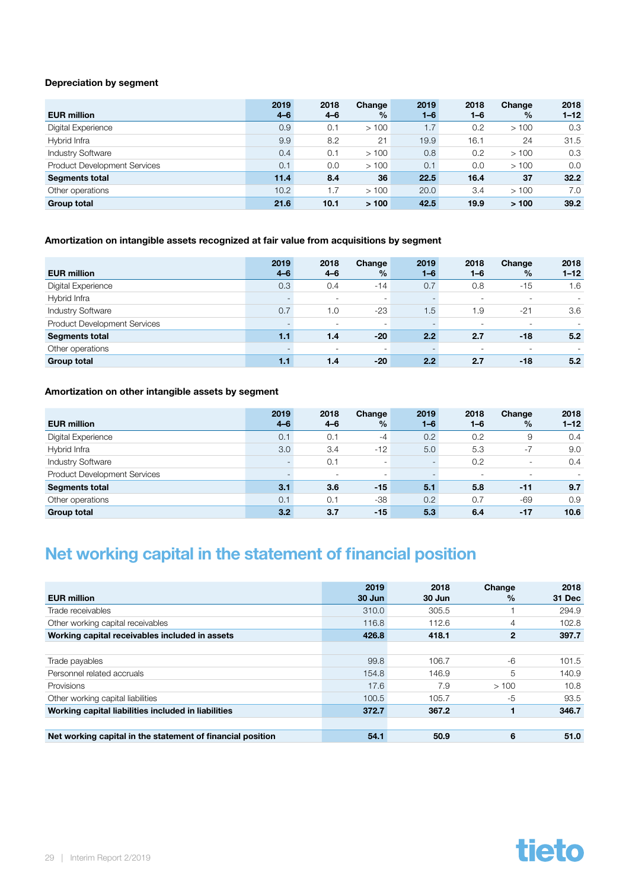#### <span id="page-28-0"></span>Depreciation by segment

| <b>EUR million</b>                  | 2019<br>$4 - 6$ | 2018<br>$4 - 6$ | Change<br>$\%$ | 2019<br>$1 - 6$ | 2018<br>$1 - 6$ | Change<br>$\%$ | 2018<br>$1 - 12$ |
|-------------------------------------|-----------------|-----------------|----------------|-----------------|-----------------|----------------|------------------|
| Digital Experience                  | 0.9             | 0.1             | >100           | 1.7             | 0.2             | >100           | 0.3              |
| Hybrid Infra                        | 9.9             | 8.2             | 21             | 19.9            | 16.1            | 24             | 31.5             |
| <b>Industry Software</b>            | 0.4             | 0.1             | >100           | 0.8             | 0.2             | >100           | 0.3              |
| <b>Product Development Services</b> | 0.1             | 0.0             | >100           | 0.1             | 0.0             | >100           | 0.0              |
| <b>Segments total</b>               | 11.4            | 8.4             | 36             | 22.5            | 16.4            | 37             | 32.2             |
| Other operations                    | 10.2            | 1.7             | >100           | 20.0            | 3.4             | >100           | 7.0              |
| <b>Group total</b>                  | 21.6            | 10.1            | >100           | 42.5            | 19.9            | >100           | 39.2             |

#### Amortization on intangible assets recognized at fair value from acquisitions by segment

| <b>EUR million</b>                  | 2019<br>$4 - 6$ | 2018<br>$4 - 6$          | Change<br>$\%$ | 2019<br>$1 - 6$          | 2018<br>$1 - 6$          | Change<br>$\%$           | 2018<br>$1 - 12$ |
|-------------------------------------|-----------------|--------------------------|----------------|--------------------------|--------------------------|--------------------------|------------------|
| Digital Experience                  | 0.3             | 0.4                      | $-14$          | 0.7                      | 0.8                      | $-15$                    | 1.6              |
| Hybrid Infra                        |                 | $\overline{\phantom{a}}$ | ۰              | $\overline{\phantom{a}}$ | $\overline{\phantom{a}}$ | $\overline{\phantom{a}}$ | ٠                |
| <b>Industry Software</b>            | 0.7             | 1.0                      | $-23$          | 1.5                      | 1.9                      | $-21$                    | 3.6              |
| <b>Product Development Services</b> |                 | ٠                        | ۰              |                          | -                        | $\overline{\phantom{a}}$ |                  |
| <b>Segments total</b>               | 1.1             | 1.4                      | $-20$          | 2.2                      | 2.7                      | -18                      | 5.2              |
| Other operations                    |                 | $\overline{\phantom{a}}$ | ۰              |                          | -                        |                          |                  |
| <b>Group total</b>                  | 1.1             | 1.4                      | $-20$          | 2.2                      | 2.7                      | -18                      | 5.2              |

#### Amortization on other intangible assets by segment

|                                     | 2019    | 2018                     | Change                   | 2019    | 2018                     | Change                   | 2018     |
|-------------------------------------|---------|--------------------------|--------------------------|---------|--------------------------|--------------------------|----------|
| <b>EUR million</b>                  | $4 - 6$ | $4 - 6$                  | $\frac{9}{6}$            | $1 - 6$ | $1 - 6$                  | $\frac{9}{6}$            | $1 - 12$ |
| Digital Experience                  | 0.1     | 0.1                      | $-4$                     | 0.2     | 0.2                      | 9                        | 0.4      |
| Hybrid Infra                        | 3.0     | 3.4                      | $-12$                    | 5.0     | 5.3                      | $-7$                     | 9.0      |
| <b>Industry Software</b>            |         | 0.1                      | $\overline{\phantom{a}}$ | -       | 0.2                      | $\overline{\phantom{a}}$ | 0.4      |
| <b>Product Development Services</b> |         | $\overline{\phantom{a}}$ | ٠                        |         | $\overline{\phantom{a}}$ | $\overline{\phantom{a}}$ |          |
| <b>Segments total</b>               | 3.1     | 3.6                      | $-15$                    | 5.1     | 5.8                      | -11                      | 9.7      |
| Other operations                    | 0.1     | 0.1                      | -38                      | 0.2     | 0.7                      | $-69$                    | 0.9      |
| <b>Group total</b>                  | 3.2     | 3.7                      | $-15$                    | 5.3     | 6.4                      | $-17$                    | 10.6     |

### Net working capital in the statement of financial position

| <b>EUR million</b>                                         | 2019<br>30 Jun | 2018<br>30 Jun | Change<br>$\%$ | 2018<br>31 Dec |
|------------------------------------------------------------|----------------|----------------|----------------|----------------|
| Trade receivables                                          | 310.0          | 305.5          |                | 294.9          |
| Other working capital receivables                          | 116.8          | 112.6          | 4              | 102.8          |
| Working capital receivables included in assets             | 426.8          | 418.1          | $\mathbf{2}$   | 397.7          |
|                                                            |                |                |                |                |
| Trade payables                                             | 99.8           | 106.7          | $-6$           | 101.5          |
| Personnel related accruals                                 | 154.8          | 146.9          | 5              | 140.9          |
| Provisions                                                 | 17.6           | 7.9            | >100           | 10.8           |
| Other working capital liabilities                          | 100.5          | 105.7          | -5             | 93.5           |
| Working capital liabilities included in liabilities        | 372.7          | 367.2          |                | 346.7          |
|                                                            |                |                |                |                |
| Net working capital in the statement of financial position | 54.1           | 50.9           | 6              | 51.0           |

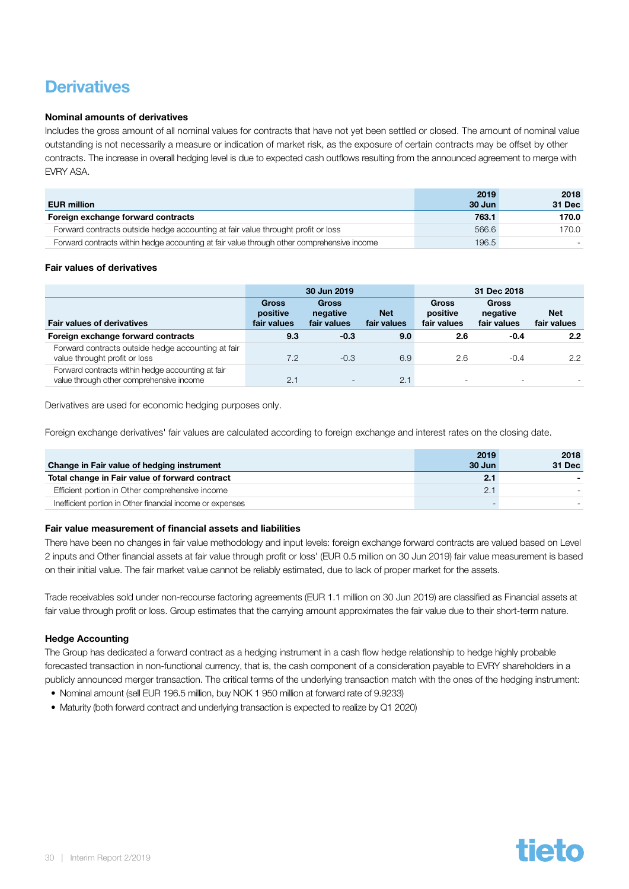### <span id="page-29-0"></span>**Derivatives**

#### Nominal amounts of derivatives

Includes the gross amount of all nominal values for contracts that have not yet been settled or closed. The amount of nominal value outstanding is not necessarily a measure or indication of market risk, as the exposure of certain contracts may be offset by other contracts. The increase in overall hedging level is due to expected cash outflows resulting from the announced agreement to merge with EVRY ASA.

|                                                                                            | 2019   | 2018   |
|--------------------------------------------------------------------------------------------|--------|--------|
| <b>EUR million</b>                                                                         | 30 Jun | 31 Dec |
| Foreign exchange forward contracts                                                         | 763.1  | 170.0  |
| Forward contracts outside hedge accounting at fair value throught profit or loss           | 566.6  | 170.0  |
| Forward contracts within hedge accounting at fair value through other comprehensive income | 196.5  |        |

#### Fair values of derivatives

|                                                                                               | 30 Jun 2019                             |                                         |                           | 31 Dec 2018                             |                                         |                           |  |
|-----------------------------------------------------------------------------------------------|-----------------------------------------|-----------------------------------------|---------------------------|-----------------------------------------|-----------------------------------------|---------------------------|--|
| <b>Fair values of derivatives</b>                                                             | <b>Gross</b><br>positive<br>fair values | <b>Gross</b><br>negative<br>fair values | <b>Net</b><br>fair values | <b>Gross</b><br>positive<br>fair values | <b>Gross</b><br>negative<br>fair values | <b>Net</b><br>fair values |  |
| Foreign exchange forward contracts                                                            | 9.3                                     | $-0.3$                                  | 9.0                       | 2.6                                     | $-0.4$                                  | 2.2                       |  |
| Forward contracts outside hedge accounting at fair<br>value throught profit or loss           | 7.2                                     | $-0.3$                                  | 6.9                       | 2.6                                     | $-0.4$                                  | $2.2^{\circ}$             |  |
| Forward contracts within hedge accounting at fair<br>value through other comprehensive income | 2.1                                     | $\overline{\phantom{a}}$                | 2.1                       | ۰                                       | $\overline{\phantom{a}}$                |                           |  |

Derivatives are used for economic hedging purposes only.

Foreign exchange derivatives' fair values are calculated according to foreign exchange and interest rates on the closing date.

| Change in Fair value of hedging instrument                | 2019<br>30 Jun | 2018<br>31 Dec |
|-----------------------------------------------------------|----------------|----------------|
| Total change in Fair value of forward contract            | 2.1            |                |
| Efficient portion in Other comprehensive income           | 2.1            |                |
| Inefficient portion in Other financial income or expenses |                |                |

#### Fair value measurement of financial assets and liabilities

There have been no changes in fair value methodology and input levels: foreign exchange forward contracts are valued based on Level 2 inputs and Other financial assets at fair value through profit or loss' (EUR 0.5 million on 30 Jun 2019) fair value measurement is based on their initial value. The fair market value cannot be reliably estimated, due to lack of proper market for the assets.

Trade receivables sold under non-recourse factoring agreements (EUR 1.1 million on 30 Jun 2019) are classified as Financial assets at fair value through profit or loss. Group estimates that the carrying amount approximates the fair value due to their short-term nature.

#### Hedge Accounting

The Group has dedicated a forward contract as a hedging instrument in a cash flow hedge relationship to hedge highly probable forecasted transaction in non-functional currency, that is, the cash component of a consideration payable to EVRY shareholders in a publicly announced merger transaction. The critical terms of the underlying transaction match with the ones of the hedging instrument:

- Nominal amount (sell EUR 196.5 million, buy NOK 1 950 million at forward rate of 9.9233)
- Maturity (both forward contract and underlying transaction is expected to realize by Q1 2020)

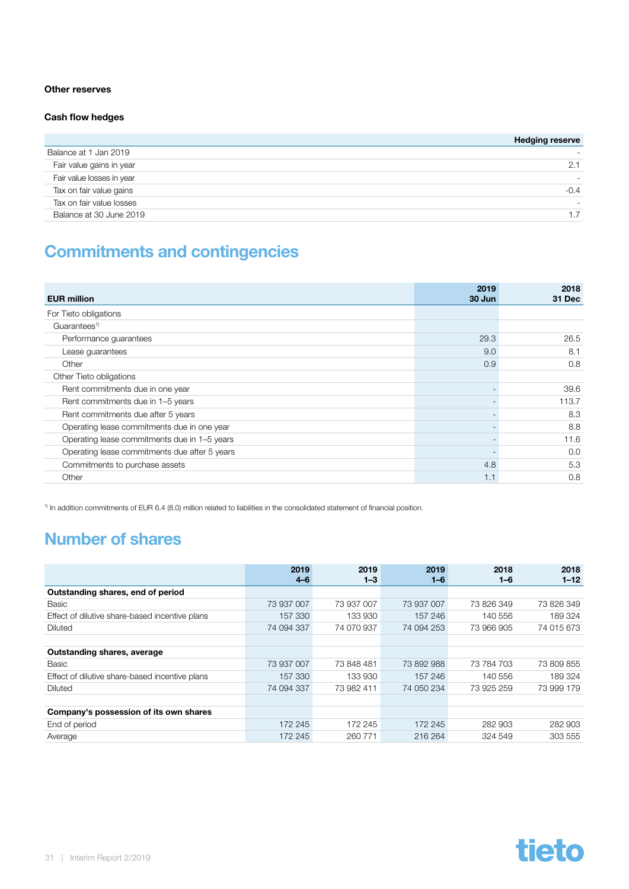#### <span id="page-30-0"></span>Other reserves

#### Cash flow hedges

|                           | <b>Hedging reserve</b> |
|---------------------------|------------------------|
| Balance at 1 Jan 2019     | -                      |
| Fair value gains in year  | 2.1                    |
| Fair value losses in year |                        |
| Tax on fair value gains   | $-0.4$                 |
| Tax on fair value losses  |                        |
| Balance at 30 June 2019   |                        |

### Commitments and contingencies

| <b>EUR million</b>                            | 2019<br>30 Jun           | 2018<br>31 Dec |
|-----------------------------------------------|--------------------------|----------------|
| For Tieto obligations                         |                          |                |
| Guarantees <sup>1)</sup>                      |                          |                |
| Performance guarantees                        | 29.3                     | 26.5           |
| Lease guarantees                              | 9.0                      | 8.1            |
| Other                                         | 0.9                      | 0.8            |
| Other Tieto obligations                       |                          |                |
| Rent commitments due in one year              |                          | 39.6           |
| Rent commitments due in 1-5 years             | $\overline{\phantom{a}}$ | 113.7          |
| Rent commitments due after 5 years            | $\overline{\phantom{a}}$ | 8.3            |
| Operating lease commitments due in one year   | $\overline{\phantom{a}}$ | 8.8            |
| Operating lease commitments due in 1-5 years  |                          | 11.6           |
| Operating lease commitments due after 5 years |                          | 0.0            |
| Commitments to purchase assets                | 4.8                      | 5.3            |
| Other                                         | 1.1                      | 0.8            |

1) In addition commitments of EUR 6.4 (8.0) million related to liabilities in the consolidated statement of financial position.

### Number of shares

|                                                | 2019<br>$4-6$ | 2019<br>$1 - 3$ | 2019<br>$1 - 6$ | 2018<br>$1 - 6$ | 2018<br>$1 - 12$ |
|------------------------------------------------|---------------|-----------------|-----------------|-----------------|------------------|
| Outstanding shares, end of period              |               |                 |                 |                 |                  |
| Basic                                          | 73 937 007    | 73 937 007      | 73 937 007      | 73 826 349      | 73 826 349       |
| Effect of dilutive share-based incentive plans | 157 330       | 133 930         | 157 246         | 140 556         | 189 324          |
| Diluted                                        | 74 094 337    | 74 070 937      | 74 094 253      | 73 966 905      | 74 015 673       |
|                                                |               |                 |                 |                 |                  |
| Outstanding shares, average                    |               |                 |                 |                 |                  |
| Basic                                          | 73 937 007    | 73 848 481      | 73 892 988      | 73 784 703      | 73 809 855       |
| Effect of dilutive share-based incentive plans | 157 330       | 133 930         | 157 246         | 140 556         | 189 324          |
| Diluted                                        | 74 094 337    | 73 982 411      | 74 050 234      | 73 925 259      | 73 999 179       |
|                                                |               |                 |                 |                 |                  |
| Company's possession of its own shares         |               |                 |                 |                 |                  |
| End of period                                  | 172 245       | 172 245         | 172 245         | 282 903         | 282 903          |
| Average                                        | 172 245       | 260 771         | 216 264         | 324 549         | 303 555          |

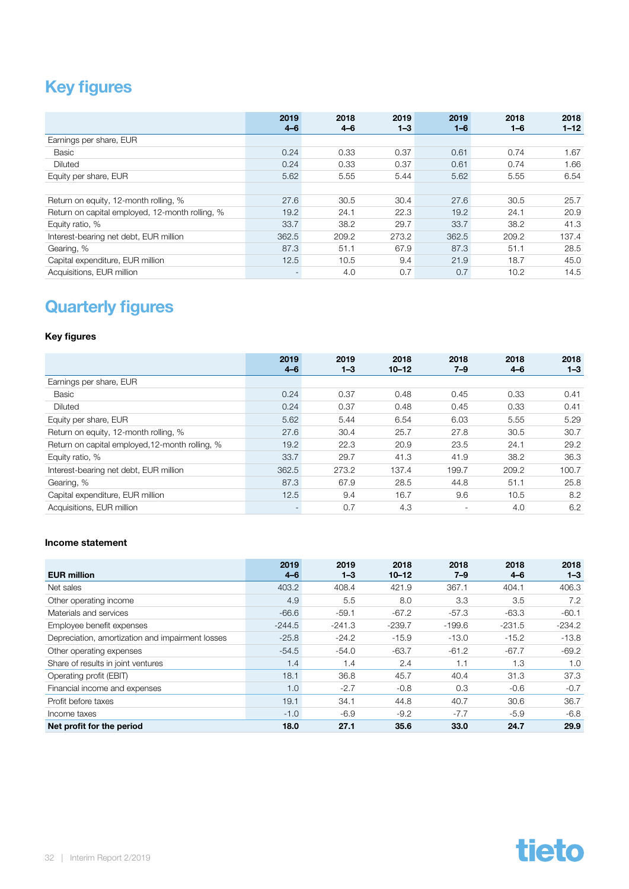### <span id="page-31-0"></span>Key figures

|                                                 | 2019<br>$4 - 6$          | 2018<br>$4 - 6$ | 2019<br>$1 - 3$ | 2019<br>$1 - 6$ | 2018<br>$1 - 6$ | 2018<br>$1 - 12$ |
|-------------------------------------------------|--------------------------|-----------------|-----------------|-----------------|-----------------|------------------|
| Earnings per share, EUR                         |                          |                 |                 |                 |                 |                  |
| Basic                                           | 0.24                     | 0.33            | 0.37            | 0.61            | 0.74            | 1.67             |
| <b>Diluted</b>                                  | 0.24                     | 0.33            | 0.37            | 0.61            | 0.74            | 1.66             |
| Equity per share, EUR                           | 5.62                     | 5.55            | 5.44            | 5.62            | 5.55            | 6.54             |
|                                                 |                          |                 |                 |                 |                 |                  |
| Return on equity, 12-month rolling, %           | 27.6                     | 30.5            | 30.4            | 27.6            | 30.5            | 25.7             |
| Return on capital employed, 12-month rolling, % | 19.2                     | 24.1            | 22.3            | 19.2            | 24.1            | 20.9             |
| Equity ratio, %                                 | 33.7                     | 38.2            | 29.7            | 33.7            | 38.2            | 41.3             |
| Interest-bearing net debt, EUR million          | 362.5                    | 209.2           | 273.2           | 362.5           | 209.2           | 137.4            |
| Gearing, %                                      | 87.3                     | 51.1            | 67.9            | 87.3            | 51.1            | 28.5             |
| Capital expenditure, EUR million                | 12.5                     | 10.5            | 9.4             | 21.9            | 18.7            | 45.0             |
| Acquisitions, EUR million                       | $\overline{\phantom{a}}$ | 4.0             | 0.7             | 0.7             | 10.2            | 14.5             |

### Quarterly figures

#### Key figures

|                                                 | 2019<br>$4 - 6$ | 2019<br>$1 - 3$ | 2018<br>$10 - 12$ | 2018<br>$7 - 9$          | 2018<br>$4 - 6$ | 2018<br>$1 - 3$ |
|-------------------------------------------------|-----------------|-----------------|-------------------|--------------------------|-----------------|-----------------|
| Earnings per share, EUR                         |                 |                 |                   |                          |                 |                 |
| Basic                                           | 0.24            | 0.37            | 0.48              | 0.45                     | 0.33            | 0.41            |
| <b>Diluted</b>                                  | 0.24            | 0.37            | 0.48              | 0.45                     | 0.33            | 0.41            |
| Equity per share, EUR                           | 5.62            | 5.44            | 6.54              | 6.03                     | 5.55            | 5.29            |
| Return on equity, 12-month rolling, %           | 27.6            | 30.4            | 25.7              | 27.8                     | 30.5            | 30.7            |
| Return on capital employed, 12-month rolling, % | 19.2            | 22.3            | 20.9              | 23.5                     | 24.1            | 29.2            |
| Equity ratio, %                                 | 33.7            | 29.7            | 41.3              | 41.9                     | 38.2            | 36.3            |
| Interest-bearing net debt, EUR million          | 362.5           | 273.2           | 137.4             | 199.7                    | 209.2           | 100.7           |
| Gearing, %                                      | 87.3            | 67.9            | 28.5              | 44.8                     | 51.1            | 25.8            |
| Capital expenditure, EUR million                | 12.5            | 9.4             | 16.7              | 9.6                      | 10.5            | 8.2             |
| Acquisitions, EUR million                       |                 | 0.7             | 4.3               | $\overline{\phantom{a}}$ | 4.0             | 6.2             |

#### Income statement

| <b>EUR million</b>                               | 2019<br>$4 - 6$ | 2019<br>$1 - 3$ | 2018<br>$10 - 12$ | 2018<br>$7 - 9$ | 2018<br>$4 - 6$ | 2018<br>$1 - 3$ |
|--------------------------------------------------|-----------------|-----------------|-------------------|-----------------|-----------------|-----------------|
|                                                  |                 |                 |                   |                 |                 |                 |
| Net sales                                        | 403.2           | 408.4           | 421.9             | 367.1           | 404.1           | 406.3           |
| Other operating income                           | 4.9             | 5.5             | 8.0               | 3.3             | 3.5             | 7.2             |
| Materials and services                           | $-66.6$         | $-59.1$         | $-67.2$           | $-57.3$         | $-63.3$         | $-60.1$         |
| Employee benefit expenses                        | $-244.5$        | $-241.3$        | $-239.7$          | $-199.6$        | $-231.5$        | $-234.2$        |
| Depreciation, amortization and impairment losses | $-25.8$         | $-24.2$         | $-15.9$           | $-13.0$         | $-15.2$         | $-13.8$         |
| Other operating expenses                         | $-54.5$         | $-54.0$         | $-63.7$           | $-61.2$         | $-67.7$         | $-69.2$         |
| Share of results in joint ventures               | 1.4             | 1.4             | 2.4               | 1.1             | 1.3             | 1.0             |
| Operating profit (EBIT)                          | 18.1            | 36.8            | 45.7              | 40.4            | 31.3            | 37.3            |
| Financial income and expenses                    | 1.0             | $-2.7$          | $-0.8$            | 0.3             | $-0.6$          | $-0.7$          |
| Profit before taxes                              | 19.1            | 34.1            | 44.8              | 40.7            | 30.6            | 36.7            |
| Income taxes                                     | $-1.0$          | $-6.9$          | $-9.2$            | $-7.7$          | $-5.9$          | $-6.8$          |
| Net profit for the period                        | 18.0            | 27.1            | 35.6              | 33.0            | 24.7            | 29.9            |

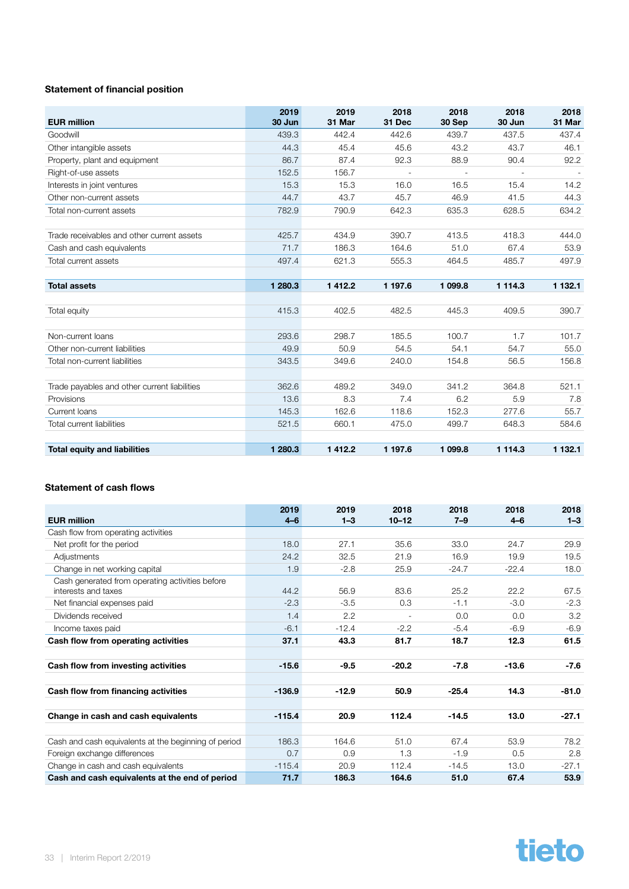#### Statement of financial position

| <b>EUR million</b>                           | 2019<br>30 Jun | 2019<br>31 Mar | 2018<br>31 Dec | 2018<br>30 Sep | 2018<br>30 Jun | 2018<br>31 Mar |
|----------------------------------------------|----------------|----------------|----------------|----------------|----------------|----------------|
| Goodwill                                     | 439.3          | 442.4          | 442.6          | 439.7          | 437.5          | 437.4          |
| Other intangible assets                      | 44.3           | 45.4           | 45.6           | 43.2           | 43.7           | 46.1           |
| Property, plant and equipment                | 86.7           | 87.4           | 92.3           | 88.9           | 90.4           | 92.2           |
| Right-of-use assets                          | 152.5          | 156.7          | $\overline{a}$ |                |                |                |
| Interests in joint ventures                  | 15.3           | 15.3           | 16.0           | 16.5           | 15.4           | 14.2           |
| Other non-current assets                     | 44.7           | 43.7           | 45.7           | 46.9           | 41.5           | 44.3           |
| Total non-current assets                     | 782.9          | 790.9          | 642.3          | 635.3          | 628.5          | 634.2          |
|                                              |                |                |                |                |                |                |
| Trade receivables and other current assets   | 425.7          | 434.9          | 390.7          | 413.5          | 418.3          | 444.0          |
| Cash and cash equivalents                    | 71.7           | 186.3          | 164.6          | 51.0           | 67.4           | 53.9           |
| Total current assets                         | 497.4          | 621.3          | 555.3          | 464.5          | 485.7          | 497.9          |
|                                              |                |                |                |                |                |                |
| <b>Total assets</b>                          | 1 280.3        | 1412.2         | 1 197.6        | 1 099.8        | 1 1 1 4 . 3    | 1 132.1        |
|                                              |                |                |                |                |                |                |
| Total equity                                 | 415.3          | 402.5          | 482.5          | 445.3          | 409.5          | 390.7          |
|                                              |                |                |                |                |                |                |
| Non-current loans                            | 293.6          | 298.7          | 185.5          | 100.7          | 1.7            | 101.7          |
| Other non-current liabilities                | 49.9           | 50.9           | 54.5           | 54.1           | 54.7           | 55.0           |
| Total non-current liabilities                | 343.5          | 349.6          | 240.0          | 154.8          | 56.5           | 156.8          |
|                                              |                |                |                |                |                |                |
| Trade payables and other current liabilities | 362.6          | 489.2          | 349.0          | 341.2          | 364.8          | 521.1          |
| Provisions                                   | 13.6           | 8.3            | 7.4            | 6.2            | 5.9            | 7.8            |
| Current Ioans                                | 145.3          | 162.6          | 118.6          | 152.3          | 277.6          | 55.7           |
| Total current liabilities                    | 521.5          | 660.1          | 475.0          | 499.7          | 648.3          | 584.6          |
|                                              |                |                |                |                |                |                |
| <b>Total equity and liabilities</b>          | 1 280.3        | 1 4 1 2.2      | 1 197.6        | 1 099.8        | 1 1 1 4 .3     | 1 1 3 2 . 1    |

#### Statement of cash flows

| <b>EUR million</b>                                                     | 2019<br>$4 - 6$ | 2019<br>$1 - 3$ | 2018<br>$10 - 12$        | 2018<br>$7 - 9$ | 2018<br>$4 - 6$ | 2018<br>$1 - 3$ |
|------------------------------------------------------------------------|-----------------|-----------------|--------------------------|-----------------|-----------------|-----------------|
| Cash flow from operating activities                                    |                 |                 |                          |                 |                 |                 |
| Net profit for the period                                              | 18.0            | 27.1            | 35.6                     | 33.0            | 24.7            | 29.9            |
| Adjustments                                                            | 24.2            | 32.5            | 21.9                     | 16.9            | 19.9            | 19.5            |
| Change in net working capital                                          | 1.9             | $-2.8$          | 25.9                     | $-24.7$         | $-22.4$         | 18.0            |
| Cash generated from operating activities before<br>interests and taxes | 44.2            | 56.9            | 83.6                     | 25.2            | 22.2            | 67.5            |
| Net financial expenses paid                                            | $-2.3$          | $-3.5$          | 0.3                      | $-1.1$          | $-3.0$          | $-2.3$          |
| Dividends received                                                     | 1.4             | 2.2             | $\overline{\phantom{a}}$ | 0.0             | 0.0             | 3.2             |
| Income taxes paid                                                      | $-6.1$          | $-12.4$         | $-2.2$                   | $-5.4$          | $-6.9$          | $-6.9$          |
| Cash flow from operating activities                                    | 37.1            | 43.3            | 81.7                     | 18.7            | 12.3            | 61.5            |
| Cash flow from investing activities                                    | $-15.6$         | $-9.5$          | $-20.2$                  | $-7.8$          | $-13.6$         | $-7.6$          |
| Cash flow from financing activities                                    | $-136.9$        | $-12.9$         | 50.9                     | $-25.4$         | 14.3            | $-81.0$         |
| Change in cash and cash equivalents                                    | $-115.4$        | 20.9            | 112.4                    | $-14.5$         | 13.0            | $-27.1$         |
| Cash and cash equivalents at the beginning of period                   | 186.3           | 164.6           | 51.0                     | 67.4            | 53.9            | 78.2            |
| Foreign exchange differences                                           | 0.7             | 0.9             | 1.3                      | $-1.9$          | 0.5             | 2.8             |
| Change in cash and cash equivalents                                    | $-115.4$        | 20.9            | 112.4                    | $-14.5$         | 13.0            | $-27.1$         |
| Cash and cash equivalents at the end of period                         | 71.7            | 186.3           | 164.6                    | 51.0            | 67.4            | 53.9            |

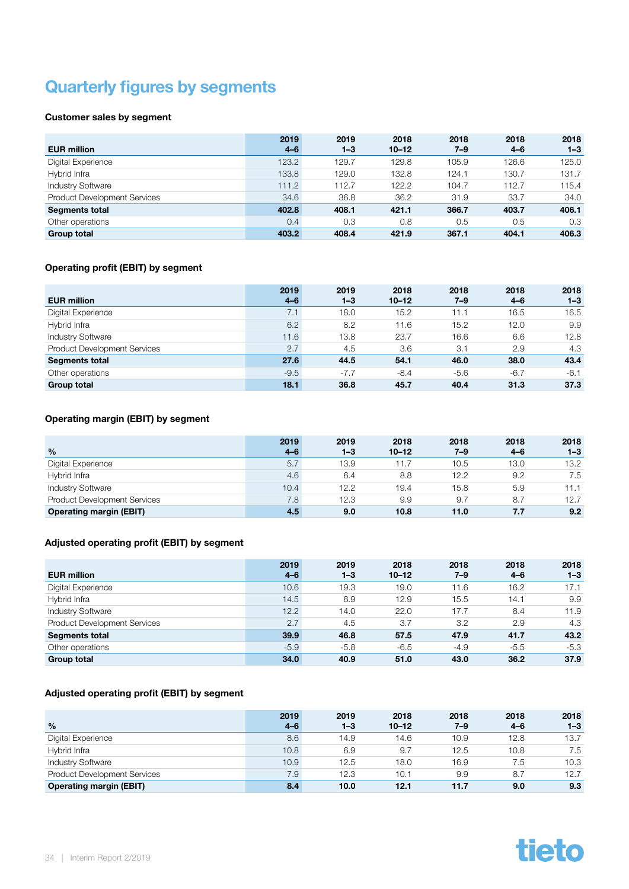### <span id="page-33-0"></span>Quarterly figures by segments

#### Customer sales by segment

|                                     | 2019    | 2019    | 2018      | 2018  | 2018    | 2018    |
|-------------------------------------|---------|---------|-----------|-------|---------|---------|
| <b>EUR million</b>                  | $4 - 6$ | $1 - 3$ | $10 - 12$ | 7–9   | $4 - 6$ | $1 - 3$ |
| Digital Experience                  | 123.2   | 129.7   | 129.8     | 105.9 | 126.6   | 125.0   |
| Hybrid Infra                        | 133.8   | 129.0   | 132.8     | 124.1 | 130.7   | 131.7   |
| <b>Industry Software</b>            | 111.2   | 112.7   | 122.2     | 104.7 | 112.7   | 115.4   |
| <b>Product Development Services</b> | 34.6    | 36.8    | 36.2      | 31.9  | 33.7    | 34.0    |
| <b>Segments total</b>               | 402.8   | 408.1   | 421.1     | 366.7 | 403.7   | 406.1   |
| Other operations                    | 0.4     | 0.3     | 0.8       | 0.5   | 0.5     | 0.3     |
| <b>Group total</b>                  | 403.2   | 408.4   | 421.9     | 367.1 | 404.1   | 406.3   |

#### Operating profit (EBIT) by segment

| <b>EUR million</b>                  | 2019<br>$4 - 6$ | 2019<br>$1 - 3$ | 2018<br>$10 - 12$ | 2018<br>7–9 | 2018<br>$4 - 6$ | 2018<br>$1 - 3$ |
|-------------------------------------|-----------------|-----------------|-------------------|-------------|-----------------|-----------------|
| Digital Experience                  | 7.1             | 18.0            | 15.2              | 11.1        | 16.5            | 16.5            |
| Hybrid Infra                        | 6.2             | 8.2             | 11.6              | 15.2        | 12.0            | 9.9             |
| <b>Industry Software</b>            | 11.6            | 13.8            | 23.7              | 16.6        | 6.6             | 12.8            |
| <b>Product Development Services</b> | 2.7             | 4.5             | 3.6               | 3.1         | 2.9             | 4.3             |
| <b>Segments total</b>               | 27.6            | 44.5            | 54.1              | 46.0        | 38.0            | 43.4            |
| Other operations                    | $-9.5$          | $-7.7$          | $-8.4$            | $-5.6$      | $-6.7$          | $-6.1$          |
| <b>Group total</b>                  | 18.1            | 36.8            | 45.7              | 40.4        | 31.3            | 37.3            |

#### Operating margin (EBIT) by segment

|                                     | 2019    | 2019    | 2018      | 2018    | 2018    | 2018    |
|-------------------------------------|---------|---------|-----------|---------|---------|---------|
| $\frac{9}{6}$                       | $4 - 6$ | $1 - 3$ | $10 - 12$ | $7 - 9$ | $4 - 6$ | $1 - 3$ |
| Digital Experience                  | 5.7     | 13.9    | 11.7      | 10.5    | 13.0    | 13.2    |
| Hybrid Infra                        | 4.6     | 6.4     | 8.8       | 12.2    | 9.2     | 7.5     |
| <b>Industry Software</b>            | 10.4    | 12.2    | 19.4      | 15.8    | 5.9     | 11.1    |
| <b>Product Development Services</b> | 7.8     | 12.3    | 9.9       | 9.7     | 8.7     | 12.7    |
| <b>Operating margin (EBIT)</b>      | 4.5     | 9.0     | 10.8      | 11.0    | 7.7     | 9.2     |

#### Adjusted operating profit (EBIT) by segment

|                                     | 2019    | 2019    | 2018      | 2018    | 2018    | 2018    |
|-------------------------------------|---------|---------|-----------|---------|---------|---------|
| <b>EUR million</b>                  | $4 - 6$ | $1 - 3$ | $10 - 12$ | $7 - 9$ | $4 - 6$ | $1 - 3$ |
| Digital Experience                  | 10.6    | 19.3    | 19.0      | 11.6    | 16.2    | 17.1    |
| Hybrid Infra                        | 14.5    | 8.9     | 12.9      | 15.5    | 14.1    | 9.9     |
| <b>Industry Software</b>            | 12.2    | 14.0    | 22.0      | 17.7    | 8.4     | 11.9    |
| <b>Product Development Services</b> | 2.7     | 4.5     | 3.7       | 3.2     | 2.9     | 4.3     |
| <b>Segments total</b>               | 39.9    | 46.8    | 57.5      | 47.9    | 41.7    | 43.2    |
| Other operations                    | $-5.9$  | $-5.8$  | $-6.5$    | $-4.9$  | $-5.5$  | $-5.3$  |
| <b>Group total</b>                  | 34.0    | 40.9    | 51.0      | 43.0    | 36.2    | 37.9    |

#### Adjusted operating profit (EBIT) by segment

|                                     | 2019    | 2019    | 2018      | 2018    | 2018    | 2018    |
|-------------------------------------|---------|---------|-----------|---------|---------|---------|
| $\frac{0}{0}$                       | $4 - 6$ | $1 - 3$ | $10 - 12$ | $7 - 9$ | $4 - 6$ | $1 - 3$ |
| Digital Experience                  | 8.6     | 14.9    | 14.6      | 10.9    | 12.8    | 13.7    |
| Hybrid Infra                        | 10.8    | 6.9     | 9.7       | 12.5    | 10.8    | 7.5     |
| <b>Industry Software</b>            | 10.9    | 12.5    | 18.0      | 16.9    | 7.5     | 10.3    |
| <b>Product Development Services</b> | 7.9     | 12.3    | 10.1      | 9.9     | 8.7     | 12.7    |
| <b>Operating margin (EBIT)</b>      | 8.4     | 10.0    | 12.1      | 11.7    | 9.0     | 9.3     |

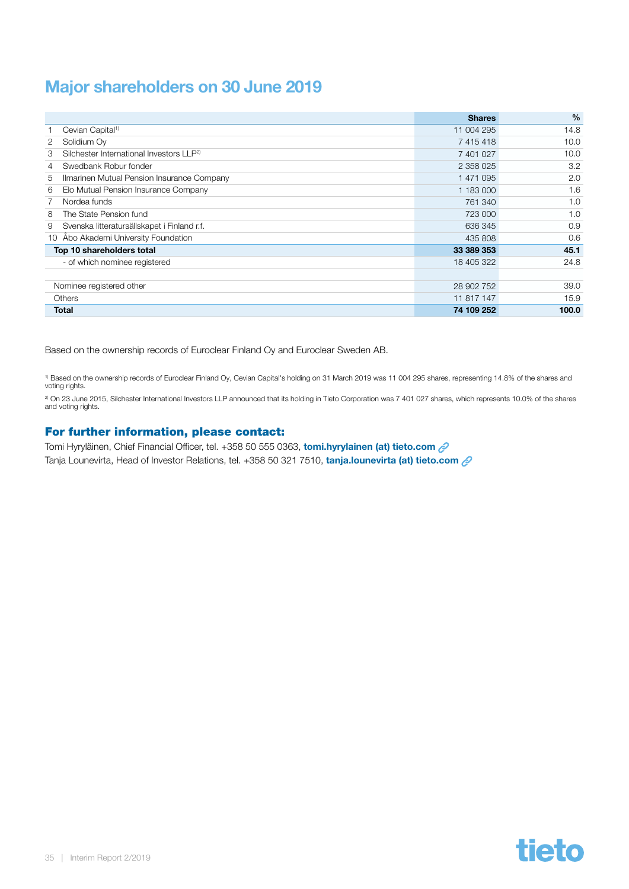### <span id="page-34-0"></span>Major shareholders on 30 June 2019

|                                                           | <b>Shares</b> | $\%$  |
|-----------------------------------------------------------|---------------|-------|
| Cevian Capital <sup>1)</sup>                              | 11 004 295    | 14.8  |
| 2<br>Solidium Ov                                          | 7 415 418     | 10.0  |
| Silchester International Investors LLP <sup>2)</sup><br>3 | 7 401 027     | 10.0  |
| Swedbank Robur fonder<br>4                                | 2 358 025     | 3.2   |
| Ilmarinen Mutual Pension Insurance Company<br>5           | 1 471 095     | 2.0   |
| Elo Mutual Pension Insurance Company<br>6                 | 1 183 000     | 1.6   |
| Nordea funds<br>7                                         | 761 340       | 1.0   |
| 8<br>The State Pension fund                               | 723 000       | 1.0   |
| Svenska litteratursällskapet i Finland r.f.<br>9          | 636 345       | 0.9   |
| 10 Åbo Akademi University Foundation                      | 435 808       | 0.6   |
| Top 10 shareholders total                                 | 33 389 353    | 45.1  |
| - of which nominee registered                             | 18 405 322    | 24.8  |
|                                                           |               |       |
| Nominee registered other                                  | 28 902 752    | 39.0  |
| <b>Others</b>                                             | 11 817 147    | 15.9  |
| <b>Total</b>                                              | 74 109 252    | 100.0 |

Based on the ownership records of Euroclear Finland Oy and Euroclear Sweden AB.

<sup>1)</sup> Based on the ownership records of Euroclear Finland Oy, Cevian Capital's holding on 31 March 2019 was 11 004 295 shares, representing 14.8% of the shares and<br>voting rights.

<sup>2)</sup> On 23 June 2015, Silchester International Investors LLP announced that its holding in Tieto Corporation was 7 401 027 shares, which represents 10.0% of the shares and voting rights.

#### For further information, please contact:

Tomi Hyryläinen, Chief Financial Officer, tel. +358 50 555 0363, [tomi.hyrylainen \(at\) tieto.com](mailto:tomi.hyrylainen%40tieto.com%20?subject=)  $\mathcal{Q}$ Tanja Lounevirta, Head of Investor Relations, tel. +358 50 321 7510, [tanja.lounevirta \(at\) tieto.com](mailto:tanja.lounevirta%40tieto.com%20%20?subject=) 2